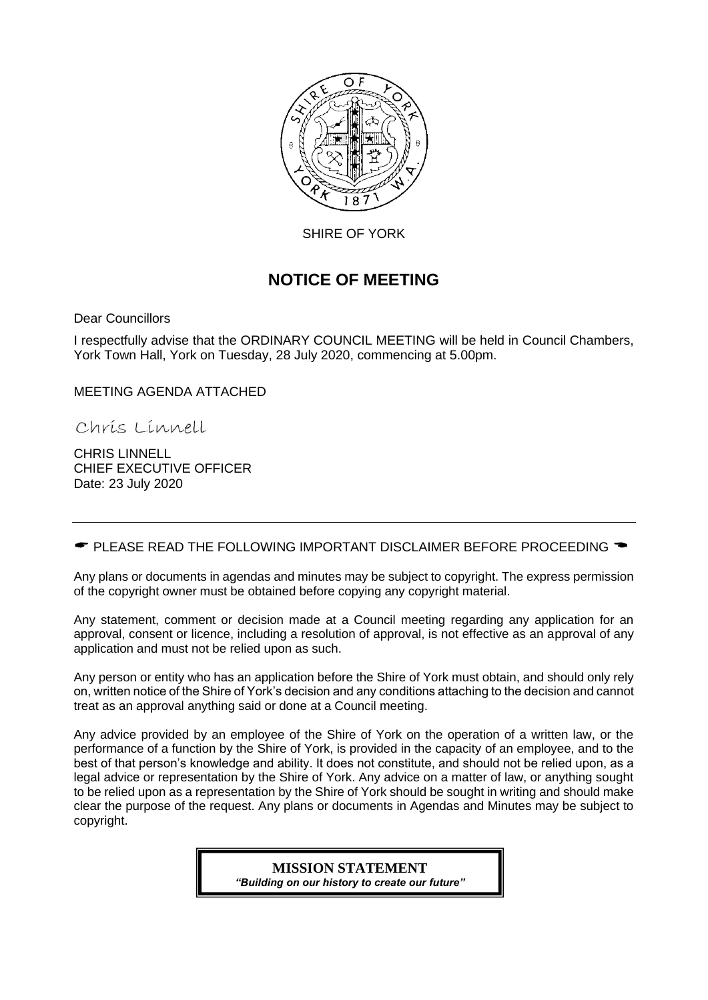

SHIRE OF YORK

# **NOTICE OF MEETING**

Dear Councillors

I respectfully advise that the ORDINARY COUNCIL MEETING will be held in Council Chambers, York Town Hall, York on Tuesday, 28 July 2020, commencing at 5.00pm.

MEETING AGENDA ATTACHED

Chris Linnell

CHRIS LINNELL CHIEF EXECUTIVE OFFICER Date: 23 July 2020

 $\bullet$  PLEASE READ THE FOLLOWING IMPORTANT DISCLAIMER BEFORE PROCEEDING  $\bullet$ 

Any plans or documents in agendas and minutes may be subject to copyright. The express permission of the copyright owner must be obtained before copying any copyright material.

Any statement, comment or decision made at a Council meeting regarding any application for an approval, consent or licence, including a resolution of approval, is not effective as an approval of any application and must not be relied upon as such.

Any person or entity who has an application before the Shire of York must obtain, and should only rely on, written notice of the Shire of York's decision and any conditions attaching to the decision and cannot treat as an approval anything said or done at a Council meeting.

Any advice provided by an employee of the Shire of York on the operation of a written law, or the performance of a function by the Shire of York, is provided in the capacity of an employee, and to the best of that person's knowledge and ability. It does not constitute, and should not be relied upon, as a legal advice or representation by the Shire of York. Any advice on a matter of law, or anything sought to be relied upon as a representation by the Shire of York should be sought in writing and should make clear the purpose of the request. Any plans or documents in Agendas and Minutes may be subject to copyright.

> **MISSION STATEMENT** *"Building on our history to create our future"*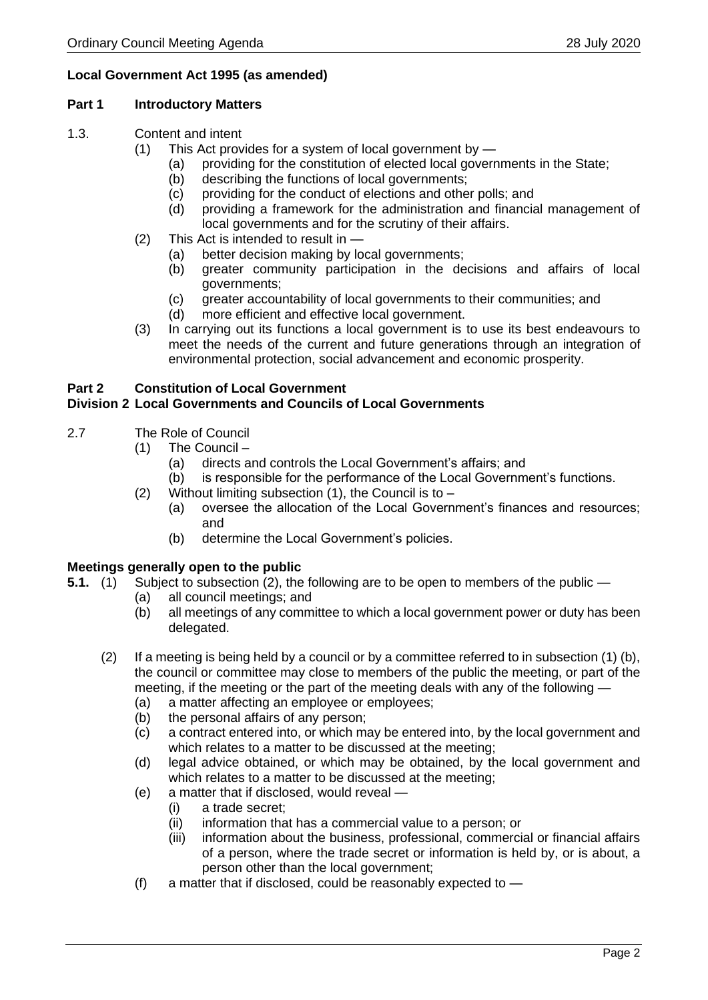# **Local Government Act 1995 (as amended)**

#### **Part 1 Introductory Matters**

- 1.3. Content and intent
	- (1) This Act provides for a system of local government by
		- (a) providing for the constitution of elected local governments in the State;
		- (b) describing the functions of local governments;
		- (c) providing for the conduct of elections and other polls; and
		- (d) providing a framework for the administration and financial management of local governments and for the scrutiny of their affairs.
	- (2) This Act is intended to result in
		- (a) better decision making by local governments;
		- (b) greater community participation in the decisions and affairs of local governments;
		- (c) greater accountability of local governments to their communities; and
		- (d) more efficient and effective local government.
	- (3) In carrying out its functions a local government is to use its best endeavours to meet the needs of the current and future generations through an integration of environmental protection, social advancement and economic prosperity.

# **Part 2 Constitution of Local Government**

# **Division 2 Local Governments and Councils of Local Governments**

- 2.7 The Role of Council
	- (1) The Council
		- (a) directs and controls the Local Government's affairs; and
		- (b) is responsible for the performance of the Local Government's functions.
	- (2) Without limiting subsection  $(1)$ , the Council is to
		- (a) oversee the allocation of the Local Government's finances and resources; and
		- (b) determine the Local Government's policies.

# **Meetings generally open to the public**

- **5.1.** (1) Subject to subsection (2), the following are to be open to members of the public
	- (a) all council meetings; and
	- (b) all meetings of any committee to which a local government power or duty has been delegated.
	- (2) If a meeting is being held by a council or by a committee referred to in subsection (1) (b), the council or committee may close to members of the public the meeting, or part of the meeting, if the meeting or the part of the meeting deals with any of the following —
		- (a) a matter affecting an employee or employees;
		- (b) the personal affairs of any person;
		- (c) a contract entered into, or which may be entered into, by the local government and which relates to a matter to be discussed at the meeting;
		- (d) legal advice obtained, or which may be obtained, by the local government and which relates to a matter to be discussed at the meeting;
		- (e) a matter that if disclosed, would reveal
			- (i) a trade secret;
			- (ii) information that has a commercial value to a person; or
			- (iii) information about the business, professional, commercial or financial affairs of a person, where the trade secret or information is held by, or is about, a person other than the local government;
		- (f) a matter that if disclosed, could be reasonably expected to —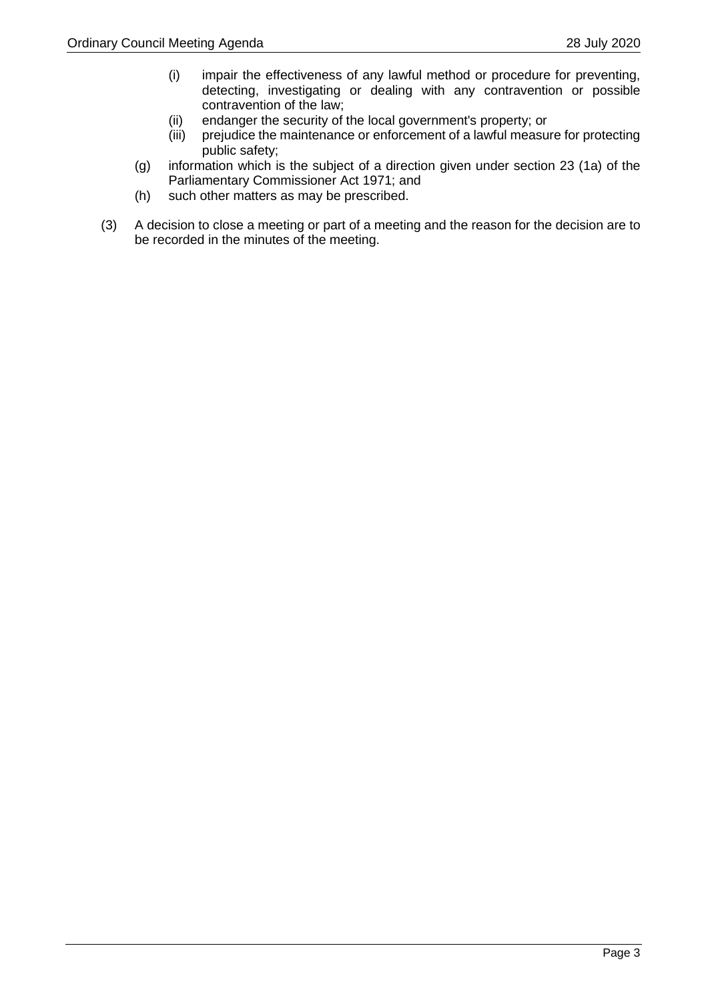- (i) impair the effectiveness of any lawful method or procedure for preventing, detecting, investigating or dealing with any contravention or possible contravention of the law;
- (ii) endanger the security of the local government's property; or
- (iii) prejudice the maintenance or enforcement of a lawful measure for protecting public safety;
- (g) information which is the subject of a direction given under section 23 (1a) of the Parliamentary Commissioner Act 1971; and
- (h) such other matters as may be prescribed.
- (3) A decision to close a meeting or part of a meeting and the reason for the decision are to be recorded in the minutes of the meeting.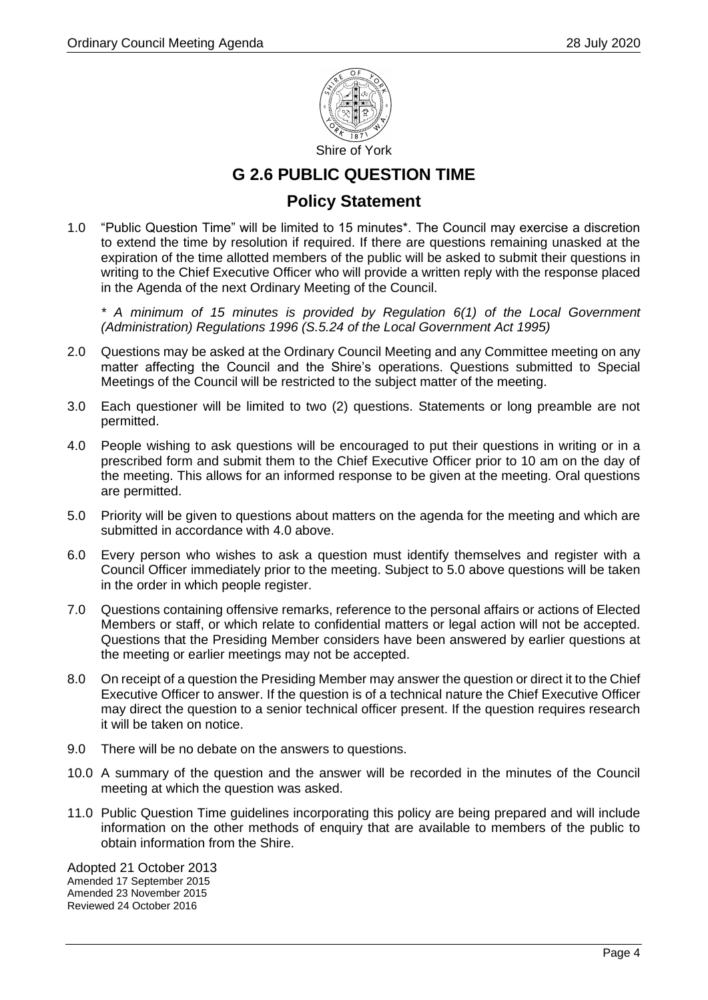

# **G 2.6 PUBLIC QUESTION TIME**

# **Policy Statement**

1.0 "Public Question Time" will be limited to 15 minutes\*. The Council may exercise a discretion to extend the time by resolution if required. If there are questions remaining unasked at the expiration of the time allotted members of the public will be asked to submit their questions in writing to the Chief Executive Officer who will provide a written reply with the response placed in the Agenda of the next Ordinary Meeting of the Council.

*\* A minimum of 15 minutes is provided by Regulation 6(1) of the Local Government (Administration) Regulations 1996 (S.5.24 of the Local Government Act 1995)*

- 2.0 Questions may be asked at the Ordinary Council Meeting and any Committee meeting on any matter affecting the Council and the Shire's operations. Questions submitted to Special Meetings of the Council will be restricted to the subject matter of the meeting.
- 3.0 Each questioner will be limited to two (2) questions. Statements or long preamble are not permitted.
- 4.0 People wishing to ask questions will be encouraged to put their questions in writing or in a prescribed form and submit them to the Chief Executive Officer prior to 10 am on the day of the meeting. This allows for an informed response to be given at the meeting. Oral questions are permitted.
- 5.0 Priority will be given to questions about matters on the agenda for the meeting and which are submitted in accordance with 4.0 above.
- 6.0 Every person who wishes to ask a question must identify themselves and register with a Council Officer immediately prior to the meeting. Subject to 5.0 above questions will be taken in the order in which people register.
- 7.0 Questions containing offensive remarks, reference to the personal affairs or actions of Elected Members or staff, or which relate to confidential matters or legal action will not be accepted. Questions that the Presiding Member considers have been answered by earlier questions at the meeting or earlier meetings may not be accepted.
- 8.0 On receipt of a question the Presiding Member may answer the question or direct it to the Chief Executive Officer to answer. If the question is of a technical nature the Chief Executive Officer may direct the question to a senior technical officer present. If the question requires research it will be taken on notice.
- 9.0 There will be no debate on the answers to questions.
- 10.0 A summary of the question and the answer will be recorded in the minutes of the Council meeting at which the question was asked.
- 11.0 Public Question Time guidelines incorporating this policy are being prepared and will include information on the other methods of enquiry that are available to members of the public to obtain information from the Shire.

Adopted 21 October 2013 Amended 17 September 2015 Amended 23 November 2015 Reviewed 24 October 2016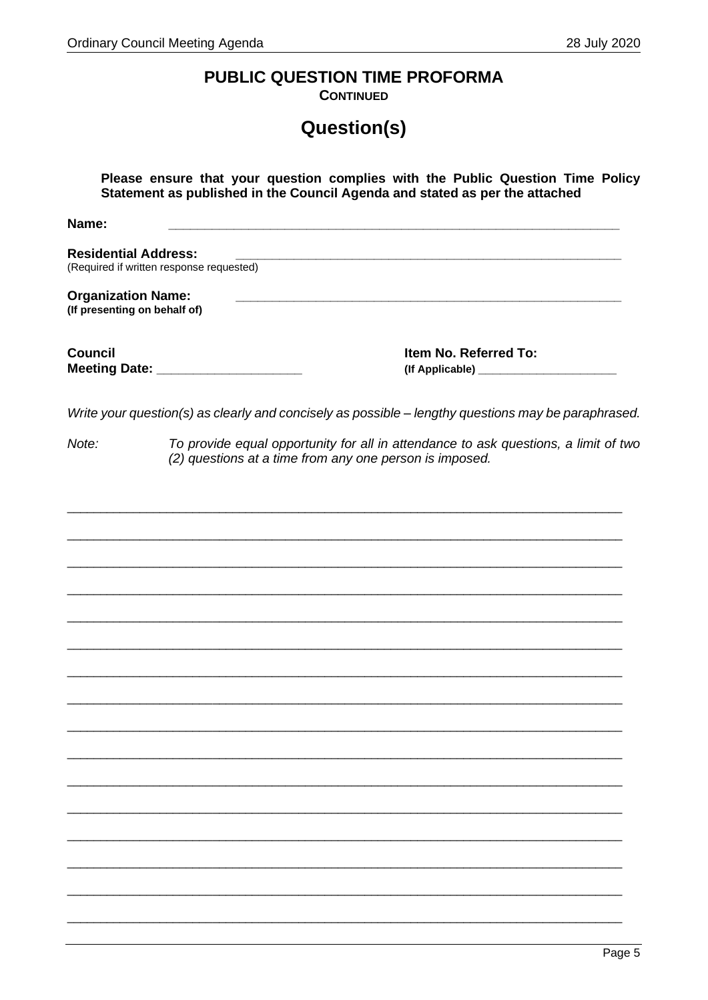# PUBLIC QUESTION TIME PROFORMA

**CONTINUED** 

# Question(s)

|                                                           | Please ensure that your question complies with the Public Question Time Policy<br>Statement as published in the Council Agenda and stated as per the attached |
|-----------------------------------------------------------|---------------------------------------------------------------------------------------------------------------------------------------------------------------|
| Name:                                                     |                                                                                                                                                               |
| <b>Residential Address:</b>                               | (Required if written response requested)                                                                                                                      |
| <b>Organization Name:</b><br>(If presenting on behalf of) |                                                                                                                                                               |
| <b>Council</b>                                            | Item No. Referred To:<br>Meeting Date: _____________________                                                                                                  |
|                                                           | Write your question(s) as clearly and concisely as possible - lengthy questions may be paraphrased.                                                           |
| Note:                                                     | To provide equal opportunity for all in attendance to ask questions, a limit of two<br>(2) questions at a time from any one person is imposed.                |
|                                                           |                                                                                                                                                               |
|                                                           |                                                                                                                                                               |
|                                                           |                                                                                                                                                               |
|                                                           |                                                                                                                                                               |
|                                                           |                                                                                                                                                               |
|                                                           |                                                                                                                                                               |
|                                                           |                                                                                                                                                               |
|                                                           |                                                                                                                                                               |
|                                                           |                                                                                                                                                               |
|                                                           |                                                                                                                                                               |
|                                                           |                                                                                                                                                               |
|                                                           |                                                                                                                                                               |
|                                                           |                                                                                                                                                               |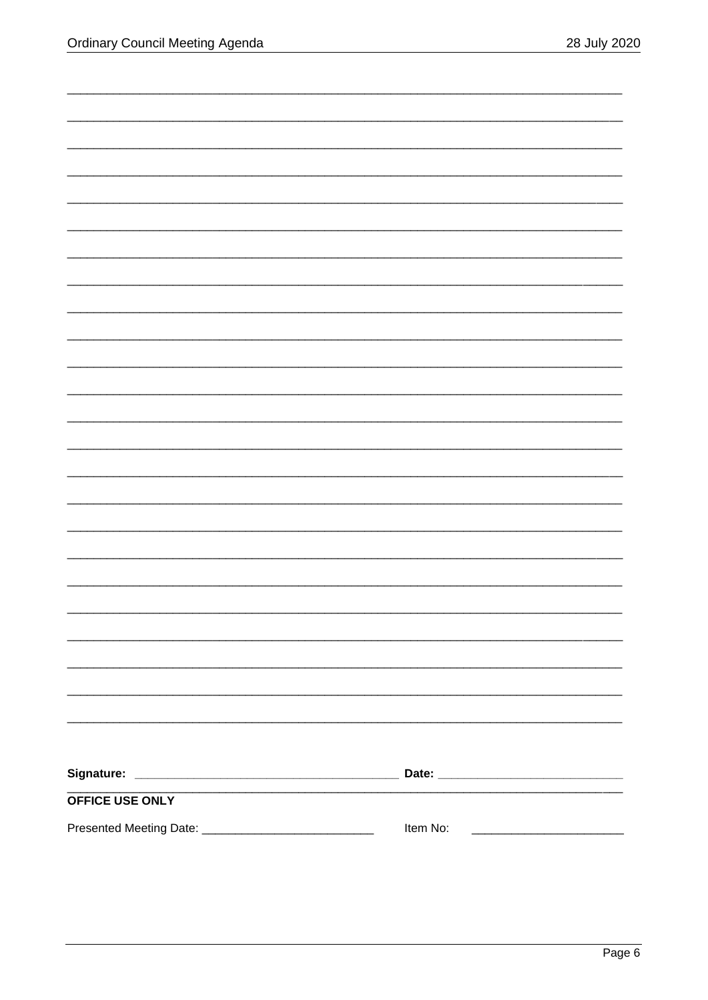| OFFICE USE ONLY                                             |          |
|-------------------------------------------------------------|----------|
| Presented Meeting Date: ___________________________________ | Item No: |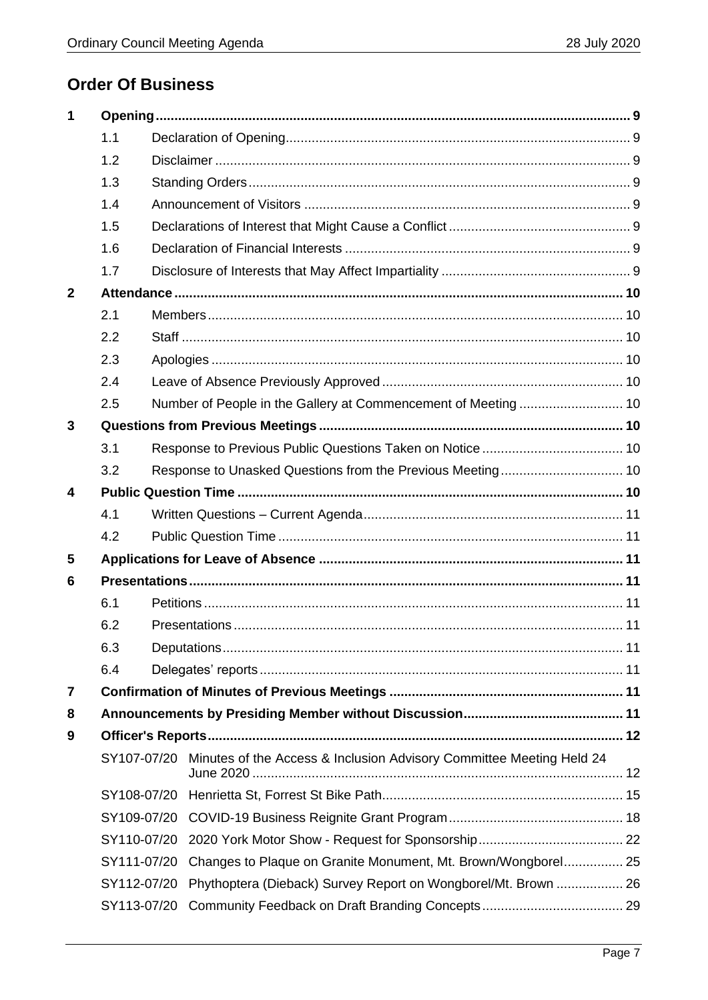# **Order Of Business**

| 1            |             |  |                                                                                  |  |
|--------------|-------------|--|----------------------------------------------------------------------------------|--|
|              | 1.1         |  |                                                                                  |  |
|              | 1.2         |  |                                                                                  |  |
|              | 1.3         |  |                                                                                  |  |
|              | 1.4         |  |                                                                                  |  |
|              | 1.5         |  |                                                                                  |  |
|              | 1.6         |  |                                                                                  |  |
|              | 1.7         |  |                                                                                  |  |
| $\mathbf{2}$ |             |  |                                                                                  |  |
|              | 2.1         |  |                                                                                  |  |
|              | 2.2         |  |                                                                                  |  |
|              | 2.3         |  |                                                                                  |  |
|              | 2.4         |  |                                                                                  |  |
|              | 2.5         |  | Number of People in the Gallery at Commencement of Meeting  10                   |  |
| 3            |             |  |                                                                                  |  |
|              | 3.1         |  |                                                                                  |  |
|              | 3.2         |  |                                                                                  |  |
| 4            |             |  |                                                                                  |  |
|              | 4.1         |  |                                                                                  |  |
|              | 4.2         |  |                                                                                  |  |
| 5            |             |  |                                                                                  |  |
| 6            |             |  |                                                                                  |  |
|              | 6.1         |  |                                                                                  |  |
|              | 6.2         |  |                                                                                  |  |
|              | 6.3         |  |                                                                                  |  |
|              | 6.4         |  |                                                                                  |  |
| 7            |             |  |                                                                                  |  |
| 8            |             |  |                                                                                  |  |
| 9            |             |  |                                                                                  |  |
|              |             |  | SY107-07/20 Minutes of the Access & Inclusion Advisory Committee Meeting Held 24 |  |
|              | SY108-07/20 |  |                                                                                  |  |
|              |             |  |                                                                                  |  |
|              | SY110-07/20 |  |                                                                                  |  |
|              | SY111-07/20 |  | Changes to Plaque on Granite Monument, Mt. Brown/Wongborel 25                    |  |
|              | SY112-07/20 |  | Phythoptera (Dieback) Survey Report on Wongborel/Mt. Brown  26                   |  |
|              | SY113-07/20 |  |                                                                                  |  |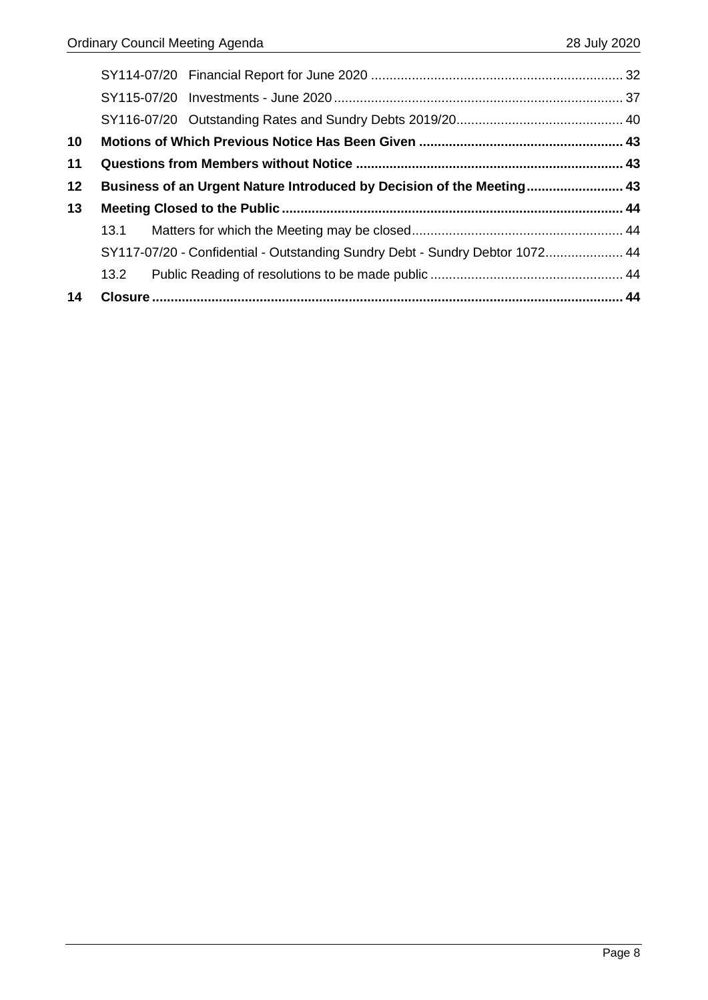| 10 |      |                                                                              |  |
|----|------|------------------------------------------------------------------------------|--|
| 11 |      |                                                                              |  |
| 12 |      | Business of an Urgent Nature Introduced by Decision of the Meeting 43        |  |
| 13 |      |                                                                              |  |
|    | 13.1 |                                                                              |  |
|    |      | SY117-07/20 - Confidential - Outstanding Sundry Debt - Sundry Debtor 1072 44 |  |
|    | 13.2 |                                                                              |  |
| 14 |      |                                                                              |  |
|    |      |                                                                              |  |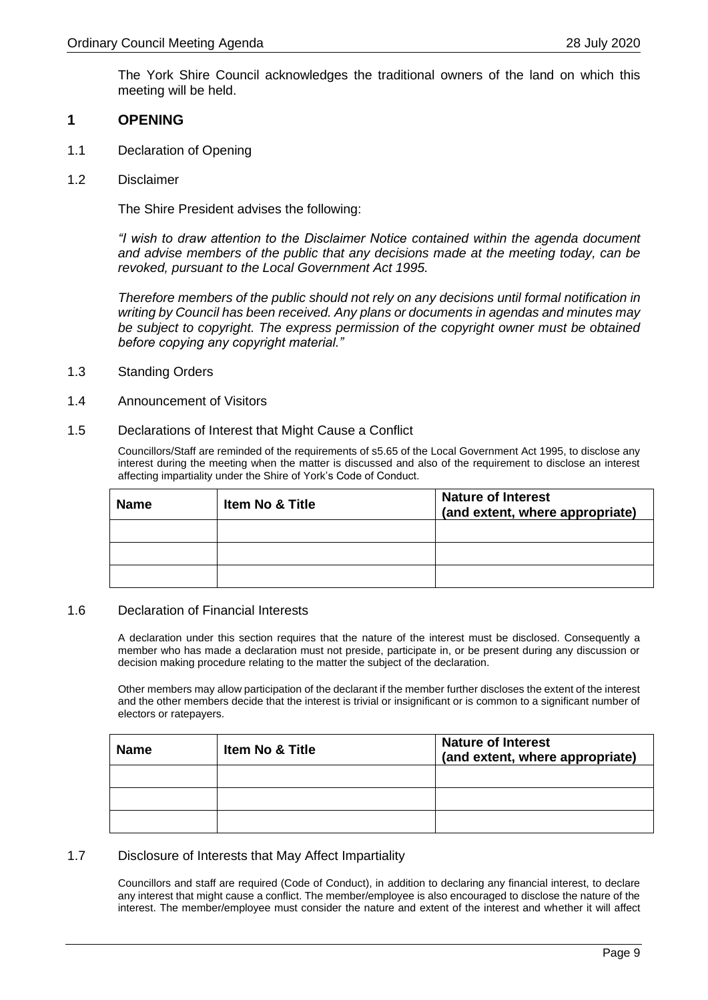The York Shire Council acknowledges the traditional owners of the land on which this meeting will be held.

#### <span id="page-8-0"></span>**1 OPENING**

- <span id="page-8-1"></span>1.1 Declaration of Opening
- <span id="page-8-2"></span>1.2 Disclaimer

The Shire President advises the following:

*"I wish to draw attention to the Disclaimer Notice contained within the agenda document and advise members of the public that any decisions made at the meeting today, can be revoked, pursuant to the Local Government Act 1995.*

*Therefore members of the public should not rely on any decisions until formal notification in writing by Council has been received. Any plans or documents in agendas and minutes may be subject to copyright. The express permission of the copyright owner must be obtained before copying any copyright material."*

- <span id="page-8-3"></span>1.3 Standing Orders
- <span id="page-8-4"></span>1.4 Announcement of Visitors
- <span id="page-8-5"></span>1.5 Declarations of Interest that Might Cause a Conflict

Councillors/Staff are reminded of the requirements of s5.65 of the Local Government Act 1995, to disclose any interest during the meeting when the matter is discussed and also of the requirement to disclose an interest affecting impartiality under the Shire of York's Code of Conduct.

| <b>Name</b> | <b>Item No &amp; Title</b> | <b>Nature of Interest</b><br>(and extent, where appropriate) |
|-------------|----------------------------|--------------------------------------------------------------|
|             |                            |                                                              |
|             |                            |                                                              |
|             |                            |                                                              |

#### <span id="page-8-6"></span>1.6 Declaration of Financial Interests

A declaration under this section requires that the nature of the interest must be disclosed. Consequently a member who has made a declaration must not preside, participate in, or be present during any discussion or decision making procedure relating to the matter the subject of the declaration.

Other members may allow participation of the declarant if the member further discloses the extent of the interest and the other members decide that the interest is trivial or insignificant or is common to a significant number of electors or ratepayers.

| <b>Name</b> | <b>Item No &amp; Title</b> | <b>Nature of Interest</b><br>(and extent, where appropriate) |
|-------------|----------------------------|--------------------------------------------------------------|
|             |                            |                                                              |
|             |                            |                                                              |
|             |                            |                                                              |

#### <span id="page-8-7"></span>1.7 Disclosure of Interests that May Affect Impartiality

Councillors and staff are required (Code of Conduct), in addition to declaring any financial interest, to declare any interest that might cause a conflict. The member/employee is also encouraged to disclose the nature of the interest. The member/employee must consider the nature and extent of the interest and whether it will affect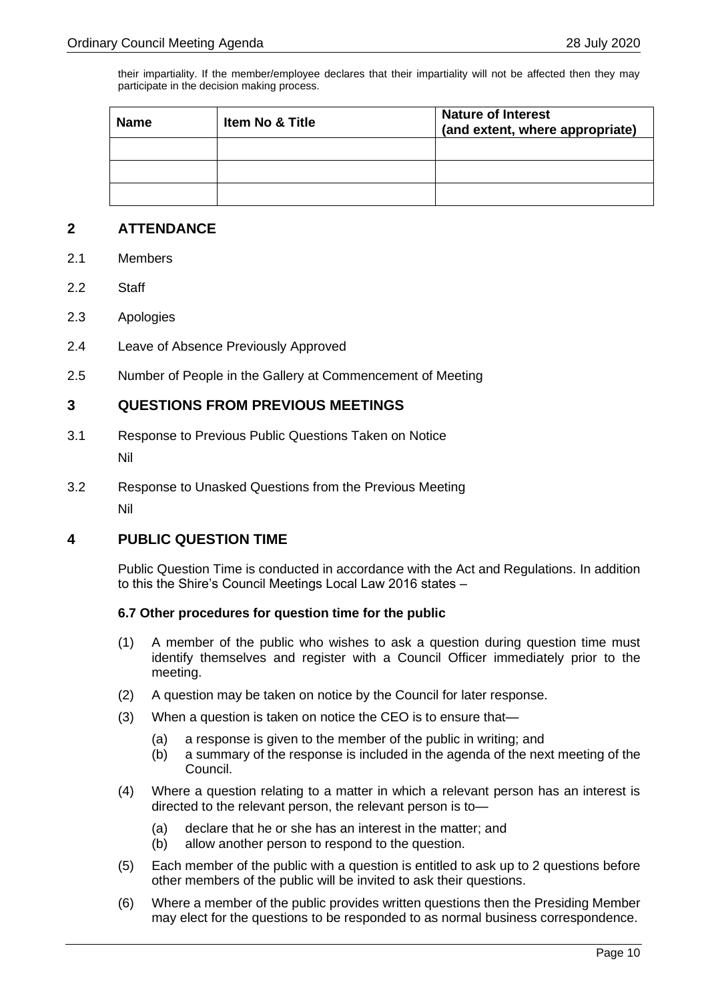their impartiality. If the member/employee declares that their impartiality will not be affected then they may participate in the decision making process.

| <b>Name</b> | <b>Item No &amp; Title</b> | <b>Nature of Interest</b><br>(and extent, where appropriate) |
|-------------|----------------------------|--------------------------------------------------------------|
|             |                            |                                                              |
|             |                            |                                                              |
|             |                            |                                                              |

# <span id="page-9-0"></span>**2 ATTENDANCE**

- <span id="page-9-1"></span>2.1 Members
- <span id="page-9-2"></span>2.2 Staff
- <span id="page-9-3"></span>2.3 Apologies
- <span id="page-9-4"></span>2.4 Leave of Absence Previously Approved
- <span id="page-9-5"></span>2.5 Number of People in the Gallery at Commencement of Meeting

# <span id="page-9-6"></span>**3 QUESTIONS FROM PREVIOUS MEETINGS**

- <span id="page-9-7"></span>3.1 Response to Previous Public Questions Taken on Notice Nil
- <span id="page-9-8"></span>3.2 Response to Unasked Questions from the Previous Meeting Nil

# <span id="page-9-9"></span>**4 PUBLIC QUESTION TIME**

Public Question Time is conducted in accordance with the Act and Regulations. In addition to this the Shire's Council Meetings Local Law 2016 states –

#### **6.7 Other procedures for question time for the public**

- (1) A member of the public who wishes to ask a question during question time must identify themselves and register with a Council Officer immediately prior to the meeting.
- (2) A question may be taken on notice by the Council for later response.
- (3) When a question is taken on notice the CEO is to ensure that—
	- (a) a response is given to the member of the public in writing; and
	- (b) a summary of the response is included in the agenda of the next meeting of the Council.
- (4) Where a question relating to a matter in which a relevant person has an interest is directed to the relevant person, the relevant person is to—
	- (a) declare that he or she has an interest in the matter; and
	- (b) allow another person to respond to the question.
- (5) Each member of the public with a question is entitled to ask up to 2 questions before other members of the public will be invited to ask their questions.
- (6) Where a member of the public provides written questions then the Presiding Member may elect for the questions to be responded to as normal business correspondence.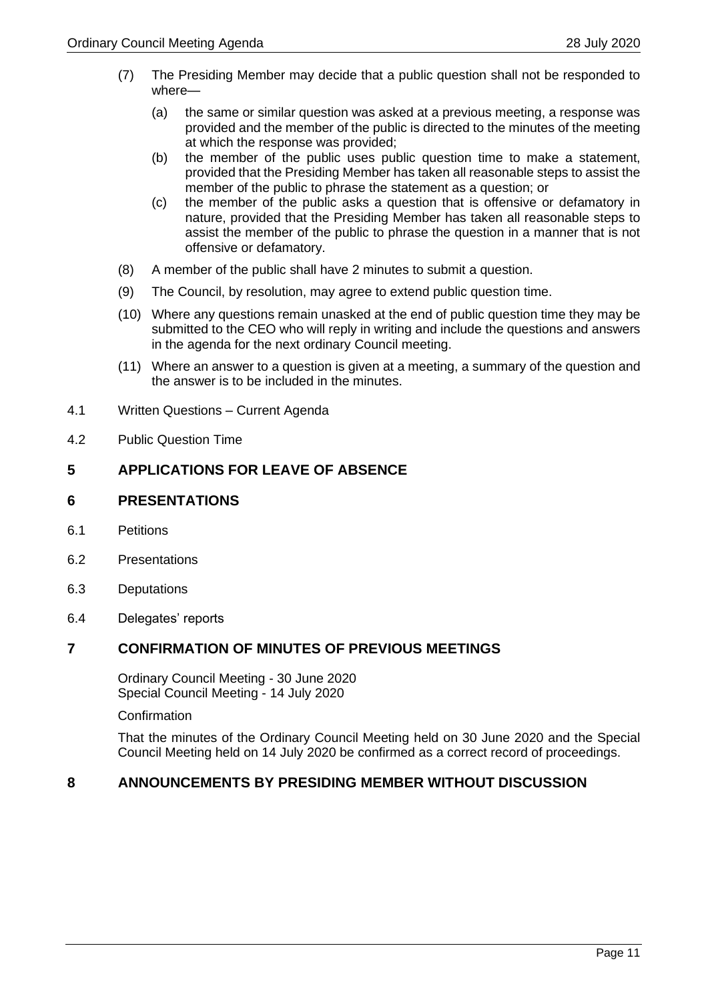- (7) The Presiding Member may decide that a public question shall not be responded to where—
	- (a) the same or similar question was asked at a previous meeting, a response was provided and the member of the public is directed to the minutes of the meeting at which the response was provided;
	- (b) the member of the public uses public question time to make a statement, provided that the Presiding Member has taken all reasonable steps to assist the member of the public to phrase the statement as a question; or
	- (c) the member of the public asks a question that is offensive or defamatory in nature, provided that the Presiding Member has taken all reasonable steps to assist the member of the public to phrase the question in a manner that is not offensive or defamatory.
- (8) A member of the public shall have 2 minutes to submit a question.
- (9) The Council, by resolution, may agree to extend public question time.
- (10) Where any questions remain unasked at the end of public question time they may be submitted to the CEO who will reply in writing and include the questions and answers in the agenda for the next ordinary Council meeting.
- (11) Where an answer to a question is given at a meeting, a summary of the question and the answer is to be included in the minutes.
- <span id="page-10-0"></span>4.1 Written Questions – Current Agenda
- <span id="page-10-1"></span>4.2 Public Question Time

# <span id="page-10-2"></span>**5 APPLICATIONS FOR LEAVE OF ABSENCE**

# <span id="page-10-3"></span>**6 PRESENTATIONS**

- <span id="page-10-4"></span>6.1 Petitions
- <span id="page-10-5"></span>6.2 Presentations
- <span id="page-10-6"></span>6.3 Deputations
- <span id="page-10-7"></span>6.4 Delegates' reports

# <span id="page-10-8"></span>**7 CONFIRMATION OF MINUTES OF PREVIOUS MEETINGS**

Ordinary Council Meeting - 30 June 2020 Special Council Meeting - 14 July 2020

**Confirmation** 

That the minutes of the Ordinary Council Meeting held on 30 June 2020 and the Special Council Meeting held on 14 July 2020 be confirmed as a correct record of proceedings.

# <span id="page-10-9"></span>**8 ANNOUNCEMENTS BY PRESIDING MEMBER WITHOUT DISCUSSION**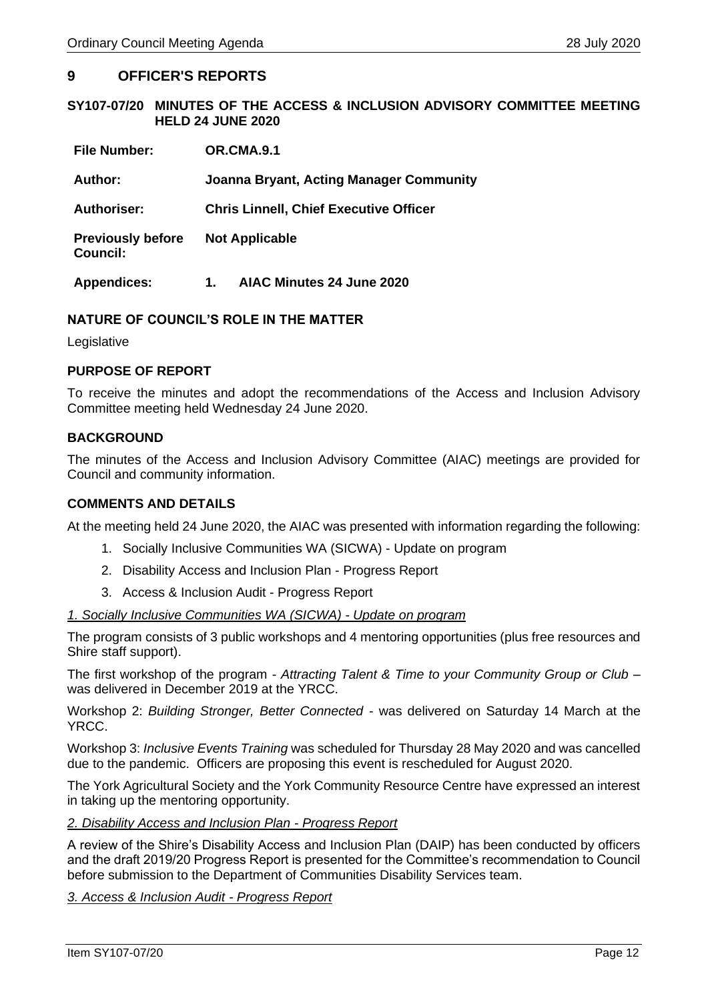# <span id="page-11-0"></span>**9 OFFICER'S REPORTS**

#### <span id="page-11-1"></span>**SY107-07/20 MINUTES OF THE ACCESS & INCLUSION ADVISORY COMMITTEE MEETING HELD 24 JUNE 2020**

| <b>File Number:</b>                         | OR.CMA.9.1                                     |
|---------------------------------------------|------------------------------------------------|
| Author:                                     | <b>Joanna Bryant, Acting Manager Community</b> |
| <b>Authoriser:</b>                          | <b>Chris Linnell, Chief Executive Officer</b>  |
| <b>Previously before</b><br><b>Council:</b> | <b>Not Applicable</b>                          |
| <b>Appendices:</b>                          | AIAC Minutes 24 June 2020<br>1.                |

#### **NATURE OF COUNCIL'S ROLE IN THE MATTER**

Legislative

#### **PURPOSE OF REPORT**

To receive the minutes and adopt the recommendations of the Access and Inclusion Advisory Committee meeting held Wednesday 24 June 2020.

#### **BACKGROUND**

The minutes of the Access and Inclusion Advisory Committee (AIAC) meetings are provided for Council and community information.

#### **COMMENTS AND DETAILS**

At the meeting held 24 June 2020, the AIAC was presented with information regarding the following:

- 1. Socially Inclusive Communities WA (SICWA) Update on program
- 2. Disability Access and Inclusion Plan Progress Report
- 3. Access & Inclusion Audit Progress Report

#### *1. Socially Inclusive Communities WA (SICWA) - Update on program*

The program consists of 3 public workshops and 4 mentoring opportunities (plus free resources and Shire staff support).

The first workshop of the program - *Attracting Talent & Time to your Community Group or Club* – was delivered in December 2019 at the YRCC.

Workshop 2: *Building Stronger, Better Connected -* was delivered on Saturday 14 March at the YRCC.

Workshop 3: *Inclusive Events Training* was scheduled for Thursday 28 May 2020 and was cancelled due to the pandemic. Officers are proposing this event is rescheduled for August 2020.

The York Agricultural Society and the York Community Resource Centre have expressed an interest in taking up the mentoring opportunity.

#### *2. Disability Access and Inclusion Plan - Progress Report*

A review of the Shire's Disability Access and Inclusion Plan (DAIP) has been conducted by officers and the draft 2019/20 Progress Report is presented for the Committee's recommendation to Council before submission to the Department of Communities Disability Services team.

#### *3. Access & Inclusion Audit - Progress Report*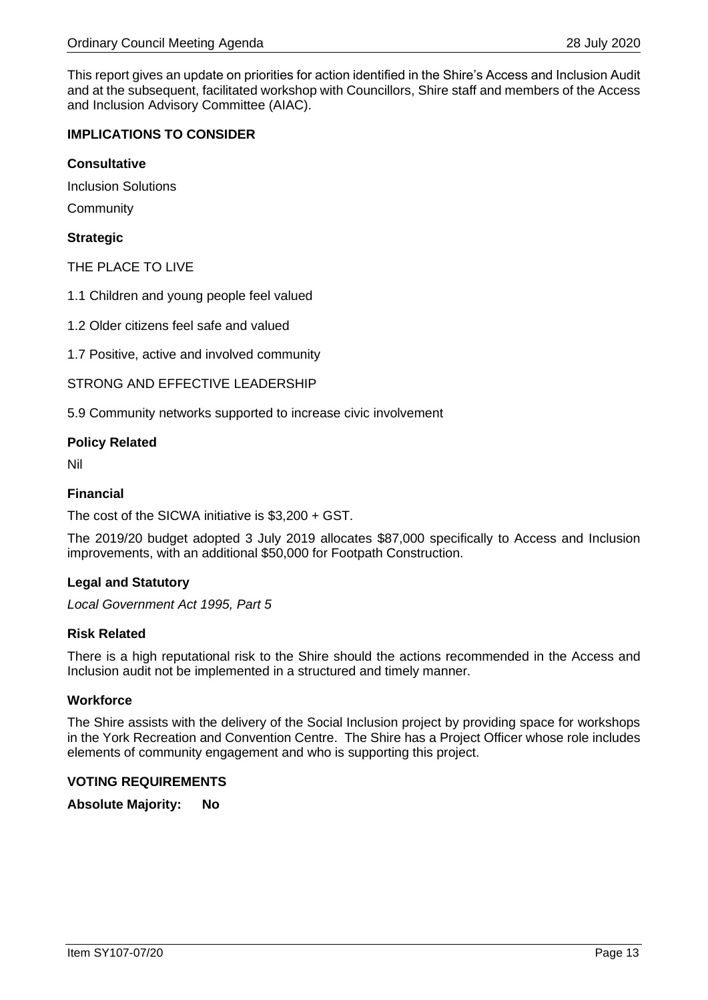This report gives an update on priorities for action identified in the Shire's Access and Inclusion Audit and at the subsequent, facilitated workshop with Councillors, Shire staff and members of the Access and Inclusion Advisory Committee (AIAC).

# **IMPLICATIONS TO CONSIDER**

#### **Consultative**

Inclusion Solutions

**Community** 

# **Strategic**

THE PLACE TO LIVE

- 1.1 Children and young people feel valued
- 1.2 Older citizens feel safe and valued
- 1.7 Positive, active and involved community

STRONG AND EFFECTIVE LEADERSHIP

5.9 Community networks supported to increase civic involvement

#### **Policy Related**

Nil

#### **Financial**

The cost of the SICWA initiative is \$3,200 + GST.

The 2019/20 budget adopted 3 July 2019 allocates \$87,000 specifically to Access and Inclusion improvements, with an additional \$50,000 for Footpath Construction.

# **Legal and Statutory**

*Local Government Act 1995, Part 5*

#### **Risk Related**

There is a high reputational risk to the Shire should the actions recommended in the Access and Inclusion audit not be implemented in a structured and timely manner.

# **Workforce**

The Shire assists with the delivery of the Social Inclusion project by providing space for workshops in the York Recreation and Convention Centre. The Shire has a Project Officer whose role includes elements of community engagement and who is supporting this project.

#### **VOTING REQUIREMENTS**

**Absolute Majority: No**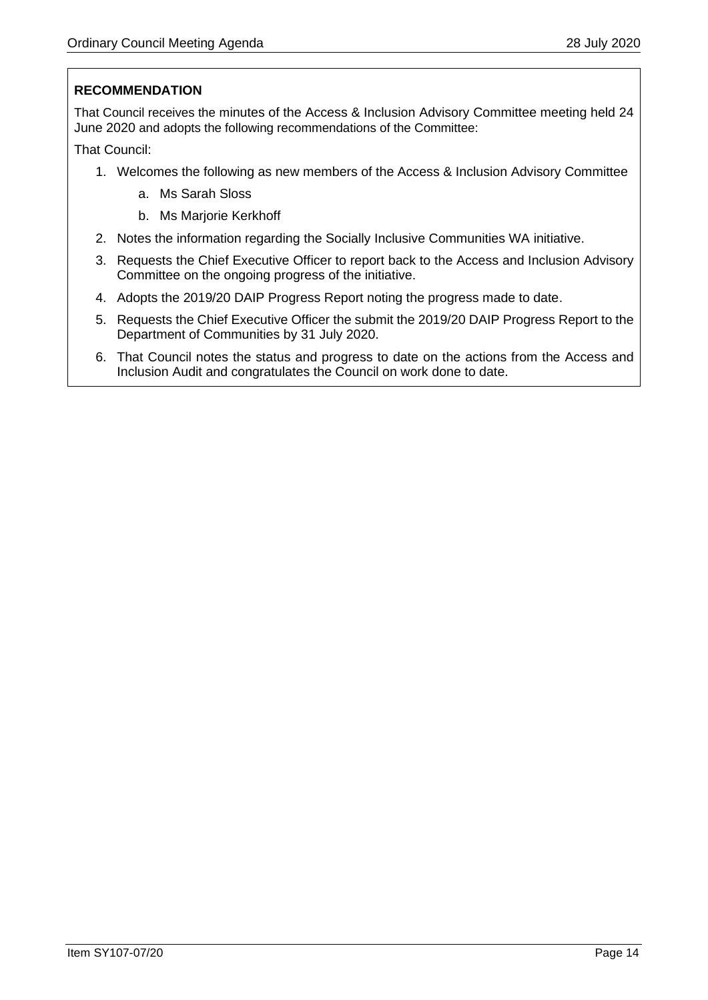# **RECOMMENDATION**

That Council receives the minutes of the Access & Inclusion Advisory Committee meeting held 24 June 2020 and adopts the following recommendations of the Committee:

That Council:

- 1. Welcomes the following as new members of the Access & Inclusion Advisory Committee
	- a. Ms Sarah Sloss
	- b. Ms Marjorie Kerkhoff
- 2. Notes the information regarding the Socially Inclusive Communities WA initiative.
- 3. Requests the Chief Executive Officer to report back to the Access and Inclusion Advisory Committee on the ongoing progress of the initiative.
- 4. Adopts the 2019/20 DAIP Progress Report noting the progress made to date.
- 5. Requests the Chief Executive Officer the submit the 2019/20 DAIP Progress Report to the Department of Communities by 31 July 2020.
- 6. That Council notes the status and progress to date on the actions from the Access and Inclusion Audit and congratulates the Council on work done to date.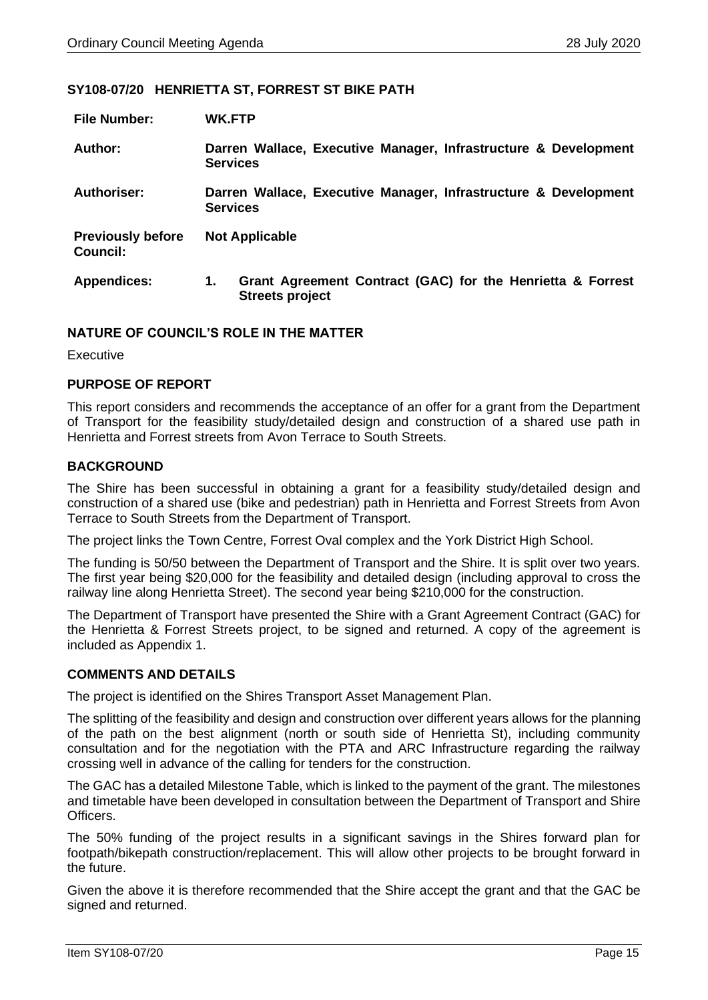#### <span id="page-14-0"></span>**SY108-07/20 HENRIETTA ST, FORREST ST BIKE PATH**

| <b>File Number:</b>                         | WK.FTP                                                                                     |
|---------------------------------------------|--------------------------------------------------------------------------------------------|
| Author:                                     | Darren Wallace, Executive Manager, Infrastructure & Development<br><b>Services</b>         |
| Authoriser:                                 | Darren Wallace, Executive Manager, Infrastructure & Development<br><b>Services</b>         |
| <b>Previously before</b><br><b>Council:</b> | <b>Not Applicable</b>                                                                      |
| <b>Appendices:</b>                          | Grant Agreement Contract (GAC) for the Henrietta & Forrest<br>1.<br><b>Streets project</b> |

#### **NATURE OF COUNCIL'S ROLE IN THE MATTER**

**Executive** 

#### **PURPOSE OF REPORT**

This report considers and recommends the acceptance of an offer for a grant from the Department of Transport for the feasibility study/detailed design and construction of a shared use path in Henrietta and Forrest streets from Avon Terrace to South Streets.

#### **BACKGROUND**

The Shire has been successful in obtaining a grant for a feasibility study/detailed design and construction of a shared use (bike and pedestrian) path in Henrietta and Forrest Streets from Avon Terrace to South Streets from the Department of Transport.

The project links the Town Centre, Forrest Oval complex and the York District High School.

The funding is 50/50 between the Department of Transport and the Shire. It is split over two years. The first year being \$20,000 for the feasibility and detailed design (including approval to cross the railway line along Henrietta Street). The second year being \$210,000 for the construction.

The Department of Transport have presented the Shire with a Grant Agreement Contract (GAC) for the Henrietta & Forrest Streets project, to be signed and returned. A copy of the agreement is included as Appendix 1.

#### **COMMENTS AND DETAILS**

The project is identified on the Shires Transport Asset Management Plan.

The splitting of the feasibility and design and construction over different years allows for the planning of the path on the best alignment (north or south side of Henrietta St), including community consultation and for the negotiation with the PTA and ARC Infrastructure regarding the railway crossing well in advance of the calling for tenders for the construction.

The GAC has a detailed Milestone Table, which is linked to the payment of the grant. The milestones and timetable have been developed in consultation between the Department of Transport and Shire **Officers** 

The 50% funding of the project results in a significant savings in the Shires forward plan for footpath/bikepath construction/replacement. This will allow other projects to be brought forward in the future.

Given the above it is therefore recommended that the Shire accept the grant and that the GAC be signed and returned.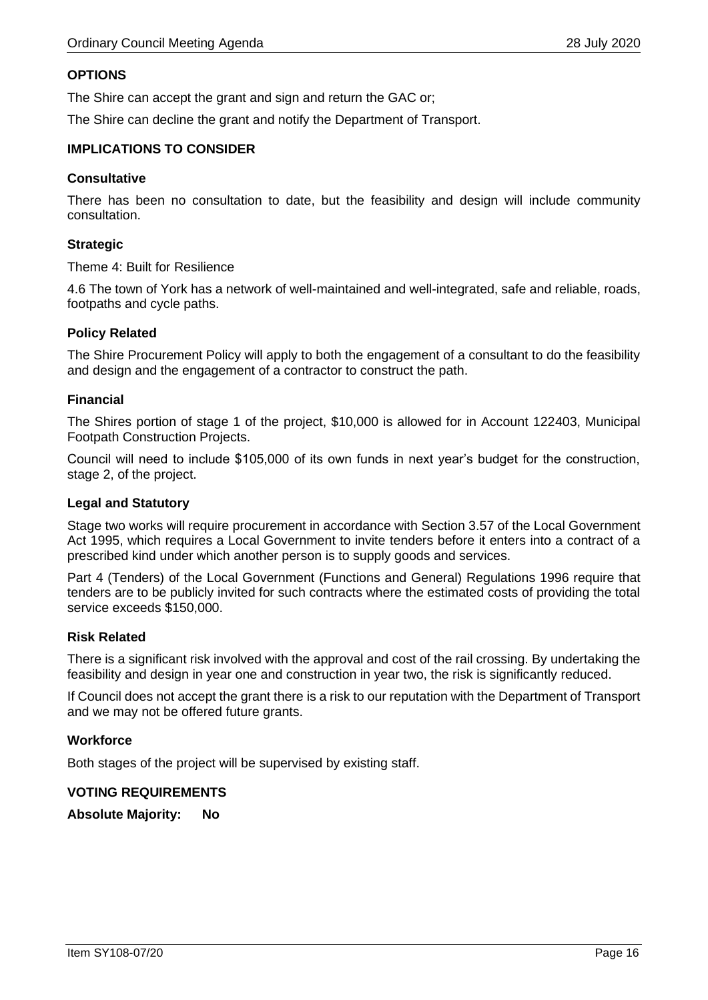# **OPTIONS**

The Shire can accept the grant and sign and return the GAC or;

The Shire can decline the grant and notify the Department of Transport.

#### **IMPLICATIONS TO CONSIDER**

#### **Consultative**

There has been no consultation to date, but the feasibility and design will include community consultation.

#### **Strategic**

Theme 4: Built for Resilience

4.6 The town of York has a network of well-maintained and well-integrated, safe and reliable, roads, footpaths and cycle paths.

#### **Policy Related**

The Shire Procurement Policy will apply to both the engagement of a consultant to do the feasibility and design and the engagement of a contractor to construct the path.

#### **Financial**

The Shires portion of stage 1 of the project, \$10,000 is allowed for in Account 122403, Municipal Footpath Construction Projects.

Council will need to include \$105,000 of its own funds in next year's budget for the construction, stage 2, of the project.

#### **Legal and Statutory**

Stage two works will require procurement in accordance with Section 3.57 of the Local Government Act 1995, which requires a Local Government to invite tenders before it enters into a contract of a prescribed kind under which another person is to supply goods and services.

Part 4 (Tenders) of the Local Government (Functions and General) Regulations 1996 require that tenders are to be publicly invited for such contracts where the estimated costs of providing the total service exceeds \$150,000.

#### **Risk Related**

There is a significant risk involved with the approval and cost of the rail crossing. By undertaking the feasibility and design in year one and construction in year two, the risk is significantly reduced.

If Council does not accept the grant there is a risk to our reputation with the Department of Transport and we may not be offered future grants.

#### **Workforce**

Both stages of the project will be supervised by existing staff.

#### **VOTING REQUIREMENTS**

**Absolute Majority: No**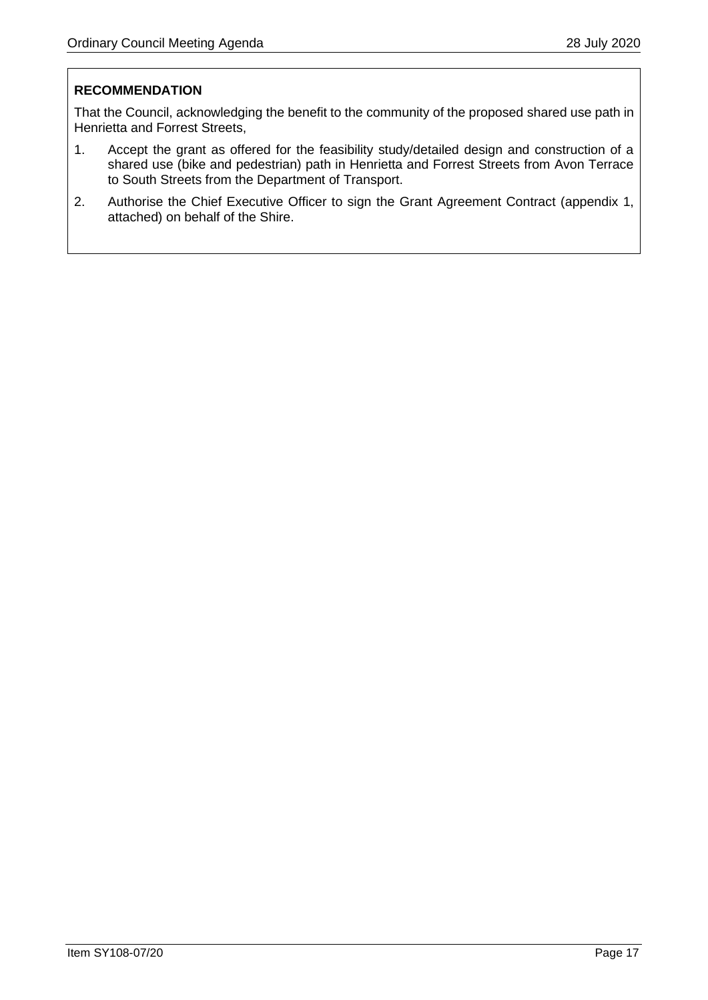# **RECOMMENDATION**

That the Council, acknowledging the benefit to the community of the proposed shared use path in Henrietta and Forrest Streets,

- 1. Accept the grant as offered for the feasibility study/detailed design and construction of a shared use (bike and pedestrian) path in Henrietta and Forrest Streets from Avon Terrace to South Streets from the Department of Transport.
- 2. Authorise the Chief Executive Officer to sign the Grant Agreement Contract (appendix 1, attached) on behalf of the Shire.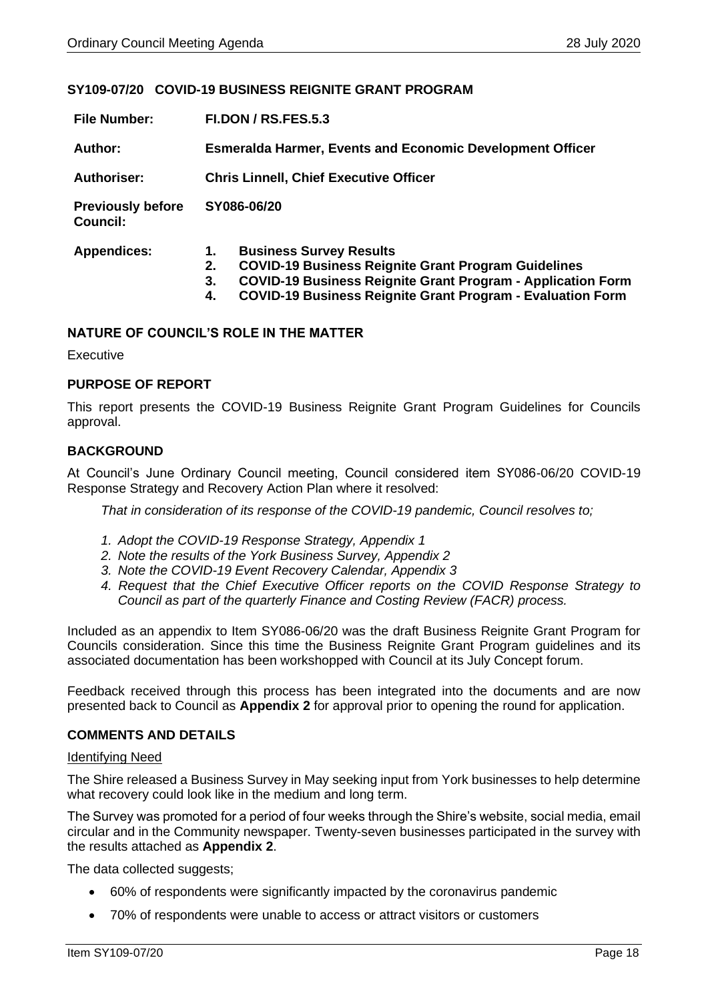# <span id="page-17-0"></span>**SY109-07/20 COVID-19 BUSINESS REIGNITE GRANT PROGRAM**

| <b>File Number:</b>                         | <b>FI.DON / RS.FES.5.3</b>                                                                                                                                                                                                                                      |  |
|---------------------------------------------|-----------------------------------------------------------------------------------------------------------------------------------------------------------------------------------------------------------------------------------------------------------------|--|
| Author:                                     | <b>Esmeralda Harmer, Events and Economic Development Officer</b>                                                                                                                                                                                                |  |
| <b>Authoriser:</b>                          | <b>Chris Linnell, Chief Executive Officer</b>                                                                                                                                                                                                                   |  |
| <b>Previously before</b><br><b>Council:</b> | SY086-06/20                                                                                                                                                                                                                                                     |  |
| <b>Appendices:</b>                          | <b>Business Survey Results</b><br>1.<br><b>COVID-19 Business Reignite Grant Program Guidelines</b><br>2.<br><b>COVID-19 Business Reignite Grant Program - Application Form</b><br>3.<br><b>COVID-19 Business Reignite Grant Program - Evaluation Form</b><br>4. |  |

#### **NATURE OF COUNCIL'S ROLE IN THE MATTER**

**Executive** 

#### **PURPOSE OF REPORT**

This report presents the COVID-19 Business Reignite Grant Program Guidelines for Councils approval.

#### **BACKGROUND**

At Council's June Ordinary Council meeting, Council considered item SY086-06/20 COVID-19 Response Strategy and Recovery Action Plan where it resolved:

*That in consideration of its response of the COVID-19 pandemic, Council resolves to;* 

- *1. Adopt the COVID-19 Response Strategy, Appendix 1*
- *2. Note the results of the York Business Survey, Appendix 2*
- *3. Note the COVID-19 Event Recovery Calendar, Appendix 3*
- *4. Request that the Chief Executive Officer reports on the COVID Response Strategy to Council as part of the quarterly Finance and Costing Review (FACR) process.*

Included as an appendix to Item SY086-06/20 was the draft Business Reignite Grant Program for Councils consideration. Since this time the Business Reignite Grant Program guidelines and its associated documentation has been workshopped with Council at its July Concept forum.

Feedback received through this process has been integrated into the documents and are now presented back to Council as **Appendix 2** for approval prior to opening the round for application.

#### **COMMENTS AND DETAILS**

#### Identifying Need

The Shire released a Business Survey in May seeking input from York businesses to help determine what recovery could look like in the medium and long term.

The Survey was promoted for a period of four weeks through the Shire's website, social media, email circular and in the Community newspaper. Twenty-seven businesses participated in the survey with the results attached as **Appendix 2**.

The data collected suggests;

- 60% of respondents were significantly impacted by the coronavirus pandemic
- 70% of respondents were unable to access or attract visitors or customers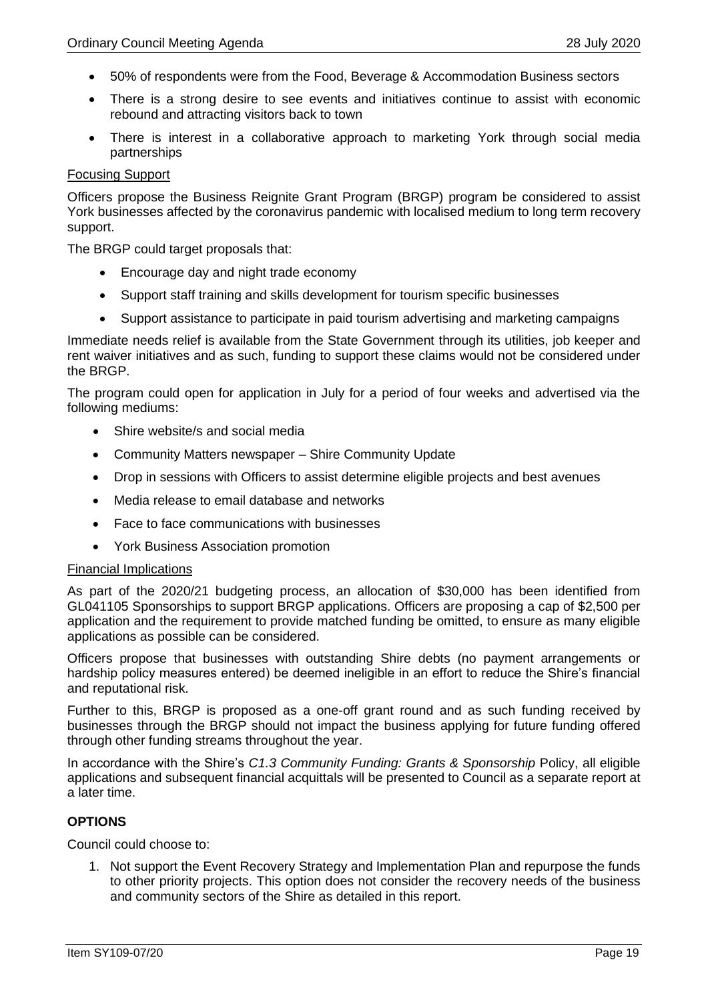- 50% of respondents were from the Food, Beverage & Accommodation Business sectors
- There is a strong desire to see events and initiatives continue to assist with economic rebound and attracting visitors back to town
- There is interest in a collaborative approach to marketing York through social media partnerships

#### Focusing Support

Officers propose the Business Reignite Grant Program (BRGP) program be considered to assist York businesses affected by the coronavirus pandemic with localised medium to long term recovery support.

The BRGP could target proposals that:

- Encourage day and night trade economy
- Support staff training and skills development for tourism specific businesses
- Support assistance to participate in paid tourism advertising and marketing campaigns

Immediate needs relief is available from the State Government through its utilities, job keeper and rent waiver initiatives and as such, funding to support these claims would not be considered under the BRGP.

The program could open for application in July for a period of four weeks and advertised via the following mediums:

- Shire website/s and social media
- Community Matters newspaper Shire Community Update
- Drop in sessions with Officers to assist determine eligible projects and best avenues
- Media release to email database and networks
- Face to face communications with businesses
- York Business Association promotion

#### Financial Implications

As part of the 2020/21 budgeting process, an allocation of \$30,000 has been identified from GL041105 Sponsorships to support BRGP applications. Officers are proposing a cap of \$2,500 per application and the requirement to provide matched funding be omitted, to ensure as many eligible applications as possible can be considered.

Officers propose that businesses with outstanding Shire debts (no payment arrangements or hardship policy measures entered) be deemed ineligible in an effort to reduce the Shire's financial and reputational risk.

Further to this, BRGP is proposed as a one-off grant round and as such funding received by businesses through the BRGP should not impact the business applying for future funding offered through other funding streams throughout the year.

In accordance with the Shire's *C1.3 Community Funding: Grants & Sponsorship* Policy, all eligible applications and subsequent financial acquittals will be presented to Council as a separate report at a later time.

# **OPTIONS**

Council could choose to:

1. Not support the Event Recovery Strategy and Implementation Plan and repurpose the funds to other priority projects. This option does not consider the recovery needs of the business and community sectors of the Shire as detailed in this report.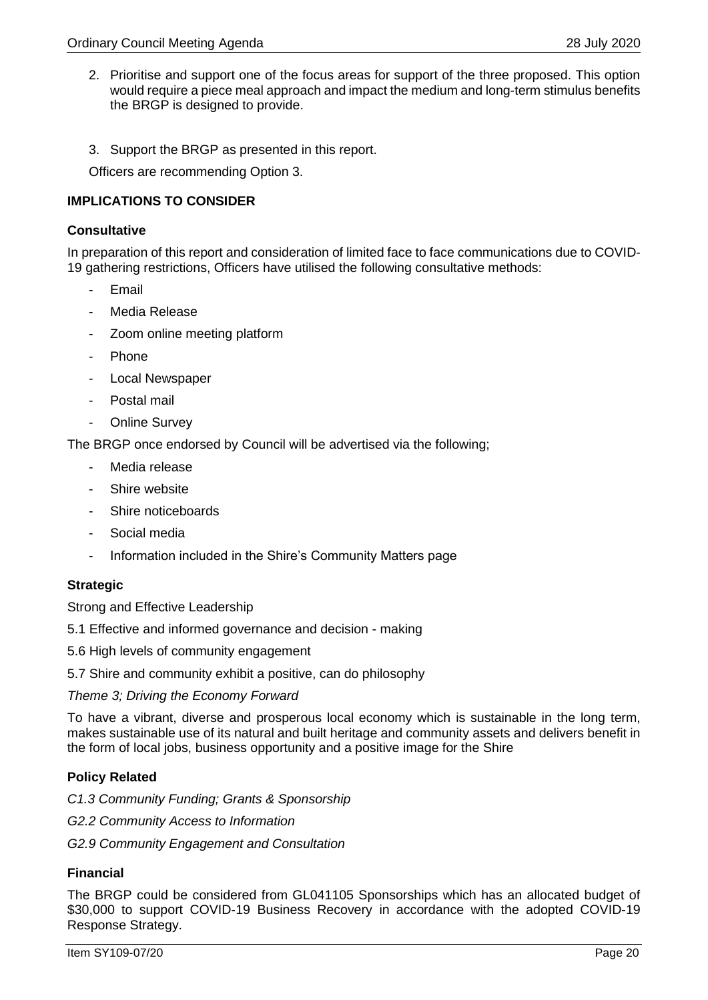- 2. Prioritise and support one of the focus areas for support of the three proposed. This option would require a piece meal approach and impact the medium and long-term stimulus benefits the BRGP is designed to provide.
- 3. Support the BRGP as presented in this report.

Officers are recommending Option 3.

# **IMPLICATIONS TO CONSIDER**

#### **Consultative**

In preparation of this report and consideration of limited face to face communications due to COVID-19 gathering restrictions, Officers have utilised the following consultative methods:

- **Email**
- Media Release
- Zoom online meeting platform
- Phone
- Local Newspaper
- Postal mail
- Online Survey

The BRGP once endorsed by Council will be advertised via the following;

- Media release
- Shire website
- Shire noticeboards
- Social media
- Information included in the Shire's Community Matters page

# **Strategic**

Strong and Effective Leadership

5.1 Effective and informed governance and decision - making

5.6 High levels of community engagement

5.7 Shire and community exhibit a positive, can do philosophy

*Theme 3; Driving the Economy Forward* 

To have a vibrant, diverse and prosperous local economy which is sustainable in the long term, makes sustainable use of its natural and built heritage and community assets and delivers benefit in the form of local jobs, business opportunity and a positive image for the Shire

# **Policy Related**

*C1.3 Community Funding; Grants & Sponsorship G2.2 Community Access to Information G2.9 Community Engagement and Consultation* 

# **Financial**

The BRGP could be considered from GL041105 Sponsorships which has an allocated budget of \$30,000 to support COVID-19 Business Recovery in accordance with the adopted COVID-19 Response Strategy.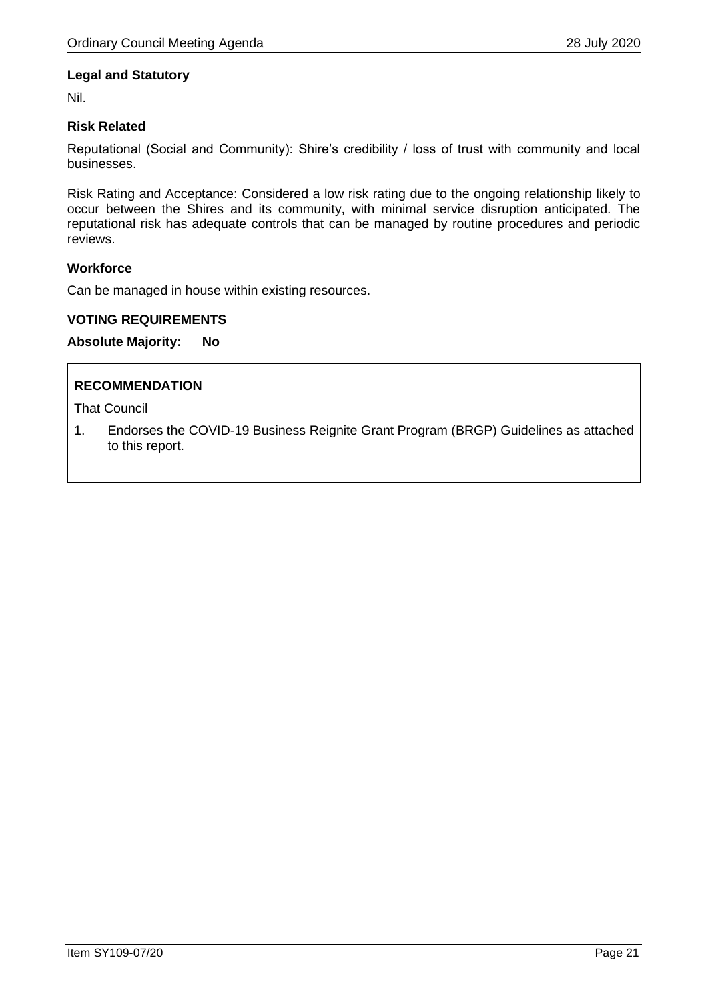# **Legal and Statutory**

Nil.

# **Risk Related**

Reputational (Social and Community): Shire's credibility / loss of trust with community and local businesses.

Risk Rating and Acceptance: Considered a low risk rating due to the ongoing relationship likely to occur between the Shires and its community, with minimal service disruption anticipated. The reputational risk has adequate controls that can be managed by routine procedures and periodic reviews.

# **Workforce**

Can be managed in house within existing resources.

# **VOTING REQUIREMENTS**

# **Absolute Majority: No**

# **RECOMMENDATION**

That Council

1. Endorses the COVID-19 Business Reignite Grant Program (BRGP) Guidelines as attached to this report.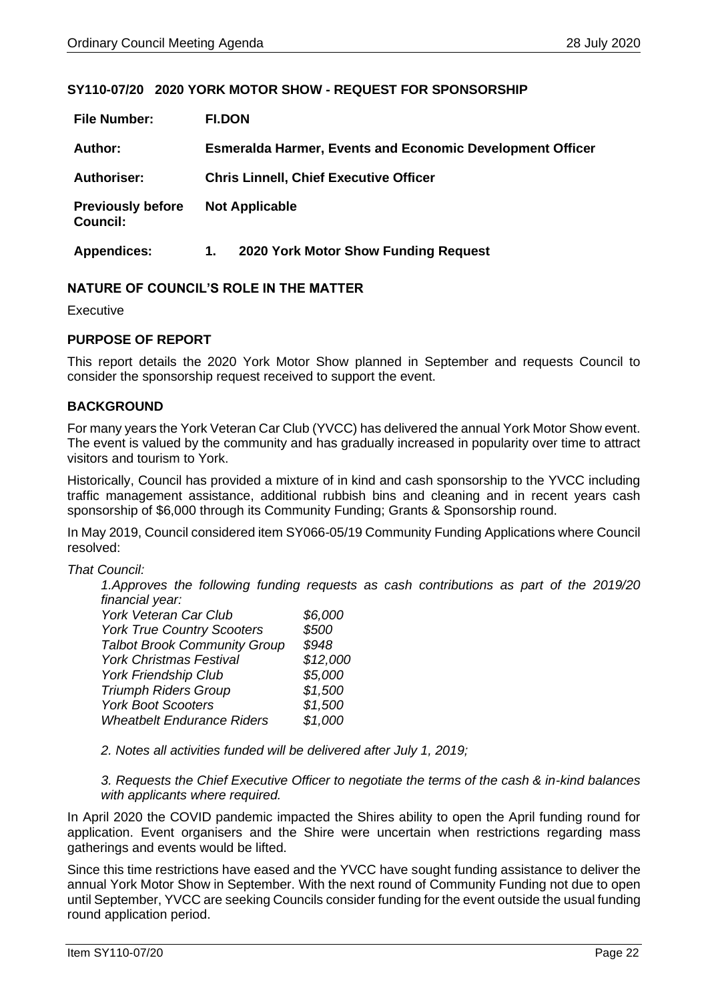#### <span id="page-21-0"></span>**SY110-07/20 2020 YORK MOTOR SHOW - REQUEST FOR SPONSORSHIP**

| <b>File Number:</b>                         | <b>FI.DON</b>                                                    |  |
|---------------------------------------------|------------------------------------------------------------------|--|
| Author:                                     | <b>Esmeralda Harmer, Events and Economic Development Officer</b> |  |
| <b>Authoriser:</b>                          | <b>Chris Linnell, Chief Executive Officer</b>                    |  |
| <b>Previously before</b><br><b>Council:</b> | <b>Not Applicable</b>                                            |  |
| <b>Appendices:</b>                          | 2020 York Motor Show Funding Request<br>1.                       |  |

# **NATURE OF COUNCIL'S ROLE IN THE MATTER**

Executive

#### **PURPOSE OF REPORT**

This report details the 2020 York Motor Show planned in September and requests Council to consider the sponsorship request received to support the event.

#### **BACKGROUND**

For many years the York Veteran Car Club (YVCC) has delivered the annual York Motor Show event. The event is valued by the community and has gradually increased in popularity over time to attract visitors and tourism to York.

Historically, Council has provided a mixture of in kind and cash sponsorship to the YVCC including traffic management assistance, additional rubbish bins and cleaning and in recent years cash sponsorship of \$6,000 through its Community Funding; Grants & Sponsorship round.

In May 2019, Council considered item SY066-05/19 Community Funding Applications where Council resolved:

*That Council:* 

*1.Approves the following funding requests as cash contributions as part of the 2019/20 financial year:* 

| \$6,000  |
|----------|
| \$500    |
| \$948    |
| \$12,000 |
| \$5,000  |
| \$1,500  |
| \$1,500  |
| \$1,000  |
|          |

*2. Notes all activities funded will be delivered after July 1, 2019;* 

*3. Requests the Chief Executive Officer to negotiate the terms of the cash & in-kind balances with applicants where required.* 

In April 2020 the COVID pandemic impacted the Shires ability to open the April funding round for application. Event organisers and the Shire were uncertain when restrictions regarding mass gatherings and events would be lifted.

Since this time restrictions have eased and the YVCC have sought funding assistance to deliver the annual York Motor Show in September. With the next round of Community Funding not due to open until September, YVCC are seeking Councils consider funding for the event outside the usual funding round application period.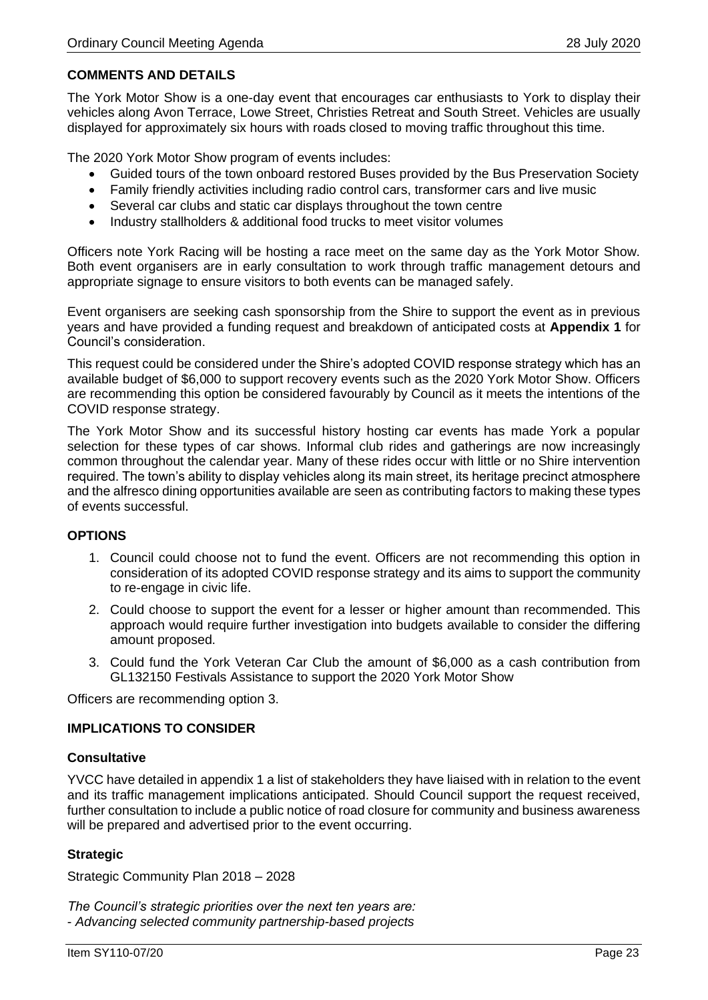# **COMMENTS AND DETAILS**

The York Motor Show is a one-day event that encourages car enthusiasts to York to display their vehicles along Avon Terrace, Lowe Street, Christies Retreat and South Street. Vehicles are usually displayed for approximately six hours with roads closed to moving traffic throughout this time.

The 2020 York Motor Show program of events includes:

- Guided tours of the town onboard restored Buses provided by the Bus Preservation Society
- Family friendly activities including radio control cars, transformer cars and live music
- Several car clubs and static car displays throughout the town centre
- Industry stallholders & additional food trucks to meet visitor volumes

Officers note York Racing will be hosting a race meet on the same day as the York Motor Show. Both event organisers are in early consultation to work through traffic management detours and appropriate signage to ensure visitors to both events can be managed safely.

Event organisers are seeking cash sponsorship from the Shire to support the event as in previous years and have provided a funding request and breakdown of anticipated costs at **Appendix 1** for Council's consideration.

This request could be considered under the Shire's adopted COVID response strategy which has an available budget of \$6,000 to support recovery events such as the 2020 York Motor Show. Officers are recommending this option be considered favourably by Council as it meets the intentions of the COVID response strategy.

The York Motor Show and its successful history hosting car events has made York a popular selection for these types of car shows. Informal club rides and gatherings are now increasingly common throughout the calendar year. Many of these rides occur with little or no Shire intervention required. The town's ability to display vehicles along its main street, its heritage precinct atmosphere and the alfresco dining opportunities available are seen as contributing factors to making these types of events successful.

#### **OPTIONS**

- 1. Council could choose not to fund the event. Officers are not recommending this option in consideration of its adopted COVID response strategy and its aims to support the community to re-engage in civic life.
- 2. Could choose to support the event for a lesser or higher amount than recommended. This approach would require further investigation into budgets available to consider the differing amount proposed.
- 3. Could fund the York Veteran Car Club the amount of \$6,000 as a cash contribution from GL132150 Festivals Assistance to support the 2020 York Motor Show

Officers are recommending option 3.

# **IMPLICATIONS TO CONSIDER**

# **Consultative**

YVCC have detailed in appendix 1 a list of stakeholders they have liaised with in relation to the event and its traffic management implications anticipated. Should Council support the request received, further consultation to include a public notice of road closure for community and business awareness will be prepared and advertised prior to the event occurring.

#### **Strategic**

Strategic Community Plan 2018 – 2028

*The Council's strategic priorities over the next ten years are:* 

- *Advancing selected community partnership-based projects*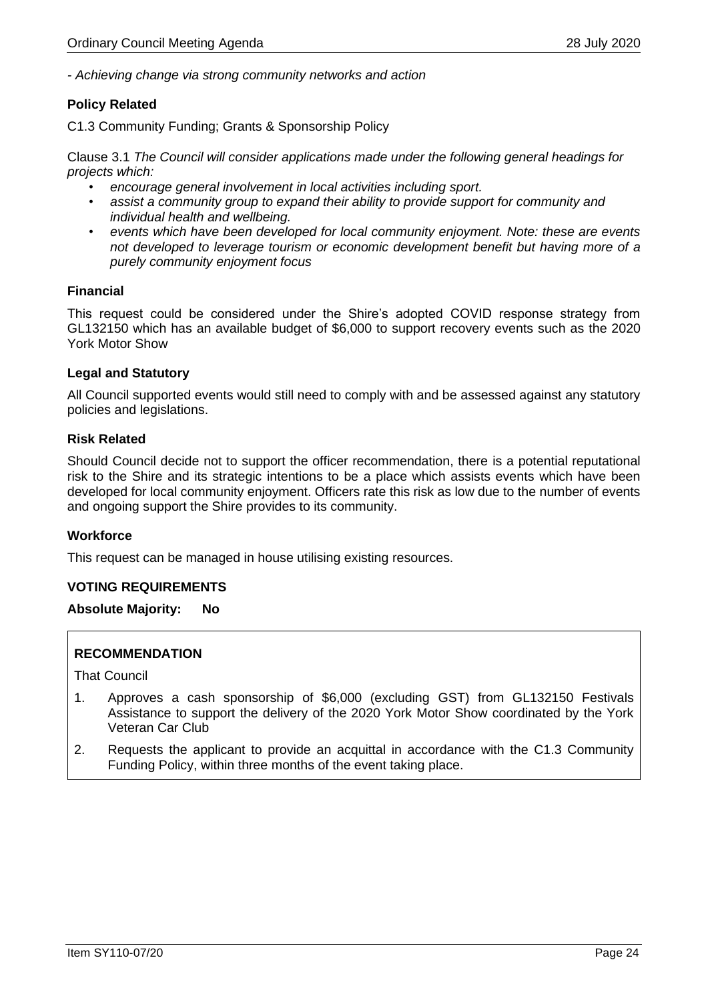*- Achieving change via strong community networks and action*

#### **Policy Related**

C1.3 Community Funding; Grants & Sponsorship Policy

Clause 3.1 *The Council will consider applications made under the following general headings for projects which:*

- *encourage general involvement in local activities including sport.*
- *assist a community group to expand their ability to provide support for community and individual health and wellbeing.*
- *events which have been developed for local community enjoyment. Note: these are events not developed to leverage tourism or economic development benefit but having more of a purely community enjoyment focus*

#### **Financial**

This request could be considered under the Shire's adopted COVID response strategy from GL132150 which has an available budget of \$6,000 to support recovery events such as the 2020 York Motor Show

#### **Legal and Statutory**

All Council supported events would still need to comply with and be assessed against any statutory policies and legislations.

# **Risk Related**

Should Council decide not to support the officer recommendation, there is a potential reputational risk to the Shire and its strategic intentions to be a place which assists events which have been developed for local community enjoyment. Officers rate this risk as low due to the number of events and ongoing support the Shire provides to its community.

#### **Workforce**

This request can be managed in house utilising existing resources.

# **VOTING REQUIREMENTS**

# **Absolute Majority: No**

# **RECOMMENDATION**

That Council

- 1. Approves a cash sponsorship of \$6,000 (excluding GST) from GL132150 Festivals Assistance to support the delivery of the 2020 York Motor Show coordinated by the York Veteran Car Club
- 2. Requests the applicant to provide an acquittal in accordance with the C1.3 Community Funding Policy, within three months of the event taking place.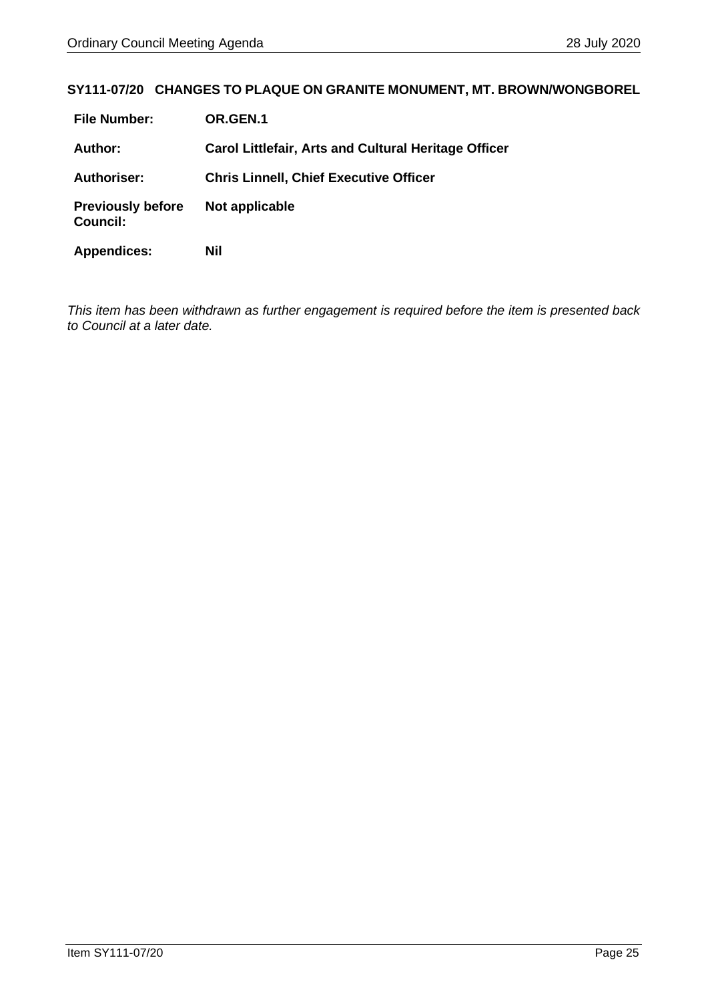# <span id="page-24-0"></span>**SY111-07/20 CHANGES TO PLAQUE ON GRANITE MONUMENT, MT. BROWN/WONGBOREL**

| <b>File Number:</b>                         | OR.GEN.1                                                    |
|---------------------------------------------|-------------------------------------------------------------|
| <b>Author:</b>                              | <b>Carol Littlefair, Arts and Cultural Heritage Officer</b> |
| <b>Authoriser:</b>                          | <b>Chris Linnell, Chief Executive Officer</b>               |
| <b>Previously before</b><br><b>Council:</b> | Not applicable                                              |
| <b>Appendices:</b>                          | Nil                                                         |

*This item has been withdrawn as further engagement is required before the item is presented back to Council at a later date.*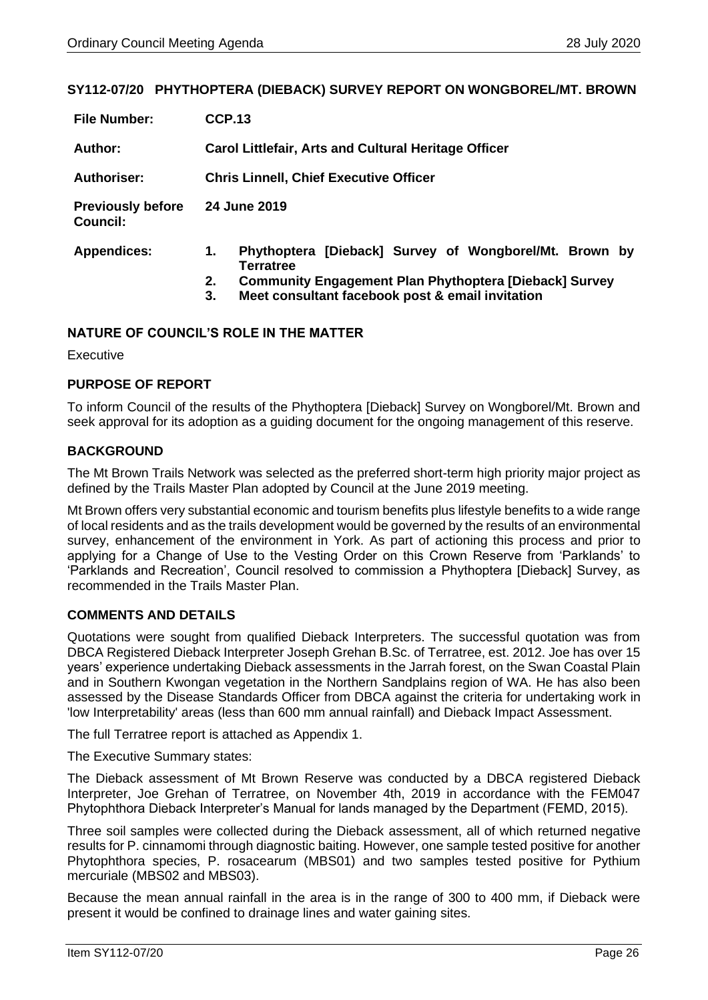# <span id="page-25-0"></span>**SY112-07/20 PHYTHOPTERA (DIEBACK) SURVEY REPORT ON WONGBOREL/MT. BROWN**

| <b>File Number:</b>                         | <b>CCP.13</b>                                                                                                                                                                                                     |  |  |  |
|---------------------------------------------|-------------------------------------------------------------------------------------------------------------------------------------------------------------------------------------------------------------------|--|--|--|
| Author:                                     | <b>Carol Littlefair, Arts and Cultural Heritage Officer</b>                                                                                                                                                       |  |  |  |
| <b>Authoriser:</b>                          | <b>Chris Linnell, Chief Executive Officer</b>                                                                                                                                                                     |  |  |  |
| <b>Previously before</b><br><b>Council:</b> | 24 June 2019                                                                                                                                                                                                      |  |  |  |
| <b>Appendices:</b>                          | Phythoptera [Dieback] Survey of Wongborel/Mt. Brown by<br>1.<br><b>Terratree</b><br><b>Community Engagement Plan Phythoptera [Dieback] Survey</b><br>2.<br>Meet consultant facebook post & email invitation<br>3. |  |  |  |

#### **NATURE OF COUNCIL'S ROLE IN THE MATTER**

**Executive** 

#### **PURPOSE OF REPORT**

To inform Council of the results of the Phythoptera [Dieback] Survey on Wongborel/Mt. Brown and seek approval for its adoption as a guiding document for the ongoing management of this reserve.

#### **BACKGROUND**

The Mt Brown Trails Network was selected as the preferred short-term high priority major project as defined by the Trails Master Plan adopted by Council at the June 2019 meeting.

Mt Brown offers very substantial economic and tourism benefits plus lifestyle benefits to a wide range of local residents and as the trails development would be governed by the results of an environmental survey, enhancement of the environment in York. As part of actioning this process and prior to applying for a Change of Use to the Vesting Order on this Crown Reserve from 'Parklands' to 'Parklands and Recreation', Council resolved to commission a Phythoptera [Dieback] Survey, as recommended in the Trails Master Plan.

#### **COMMENTS AND DETAILS**

Quotations were sought from qualified Dieback Interpreters. The successful quotation was from DBCA Registered Dieback Interpreter Joseph Grehan B.Sc. of Terratree, est. 2012. Joe has over 15 years' experience undertaking Dieback assessments in the Jarrah forest, on the Swan Coastal Plain and in Southern Kwongan vegetation in the Northern Sandplains region of WA. He has also been assessed by the Disease Standards Officer from DBCA against the criteria for undertaking work in 'low Interpretability' areas (less than 600 mm annual rainfall) and Dieback Impact Assessment.

The full Terratree report is attached as Appendix 1.

The Executive Summary states:

The Dieback assessment of Mt Brown Reserve was conducted by a DBCA registered Dieback Interpreter, Joe Grehan of Terratree, on November 4th, 2019 in accordance with the FEM047 Phytophthora Dieback Interpreter's Manual for lands managed by the Department (FEMD, 2015).

Three soil samples were collected during the Dieback assessment, all of which returned negative results for P. cinnamomi through diagnostic baiting. However, one sample tested positive for another Phytophthora species, P. rosacearum (MBS01) and two samples tested positive for Pythium mercuriale (MBS02 and MBS03).

Because the mean annual rainfall in the area is in the range of 300 to 400 mm, if Dieback were present it would be confined to drainage lines and water gaining sites.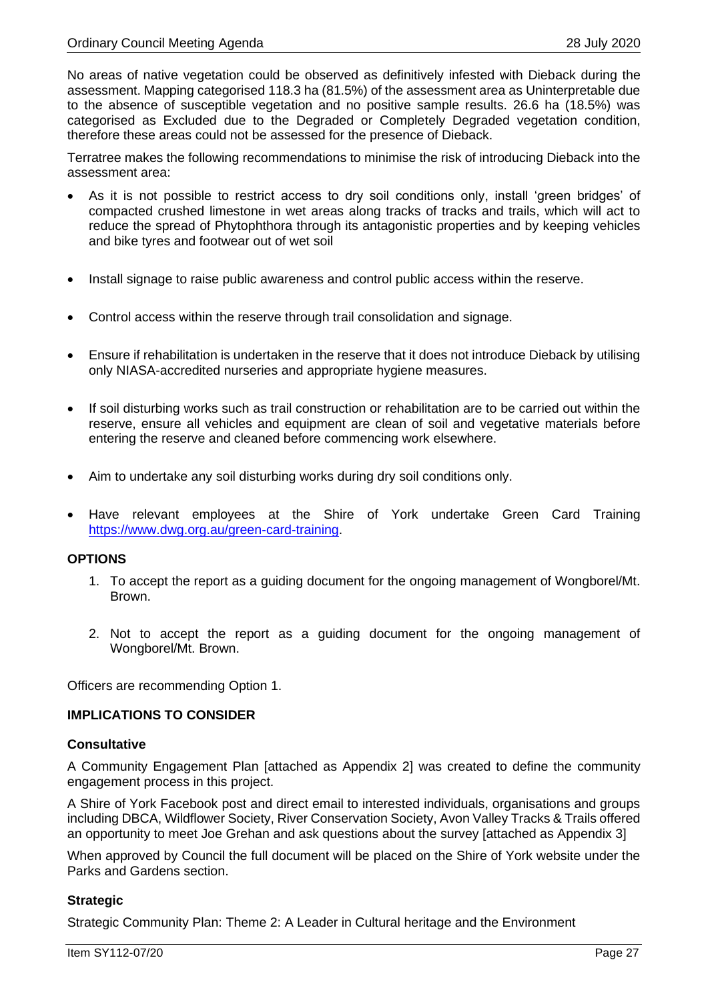No areas of native vegetation could be observed as definitively infested with Dieback during the assessment. Mapping categorised 118.3 ha (81.5%) of the assessment area as Uninterpretable due to the absence of susceptible vegetation and no positive sample results. 26.6 ha (18.5%) was categorised as Excluded due to the Degraded or Completely Degraded vegetation condition, therefore these areas could not be assessed for the presence of Dieback.

Terratree makes the following recommendations to minimise the risk of introducing Dieback into the assessment area:

- As it is not possible to restrict access to dry soil conditions only, install 'green bridges' of compacted crushed limestone in wet areas along tracks of tracks and trails, which will act to reduce the spread of Phytophthora through its antagonistic properties and by keeping vehicles and bike tyres and footwear out of wet soil
- Install signage to raise public awareness and control public access within the reserve.
- Control access within the reserve through trail consolidation and signage.
- Ensure if rehabilitation is undertaken in the reserve that it does not introduce Dieback by utilising only NIASA-accredited nurseries and appropriate hygiene measures.
- If soil disturbing works such as trail construction or rehabilitation are to be carried out within the reserve, ensure all vehicles and equipment are clean of soil and vegetative materials before entering the reserve and cleaned before commencing work elsewhere.
- Aim to undertake any soil disturbing works during dry soil conditions only.
- Have relevant employees at the Shire of York undertake Green Card Training [https://www.dwg.org.au/green-card-training.](https://www.dwg.org.au/green-card-training)

# **OPTIONS**

- 1. To accept the report as a guiding document for the ongoing management of Wongborel/Mt. Brown.
- 2. Not to accept the report as a guiding document for the ongoing management of Wongborel/Mt. Brown.

Officers are recommending Option 1.

# **IMPLICATIONS TO CONSIDER**

#### **Consultative**

A Community Engagement Plan [attached as Appendix 2] was created to define the community engagement process in this project.

A Shire of York Facebook post and direct email to interested individuals, organisations and groups including DBCA, Wildflower Society, River Conservation Society, Avon Valley Tracks & Trails offered an opportunity to meet Joe Grehan and ask questions about the survey [attached as Appendix 3]

When approved by Council the full document will be placed on the Shire of York website under the Parks and Gardens section.

# **Strategic**

Strategic Community Plan: Theme 2: A Leader in Cultural heritage and the Environment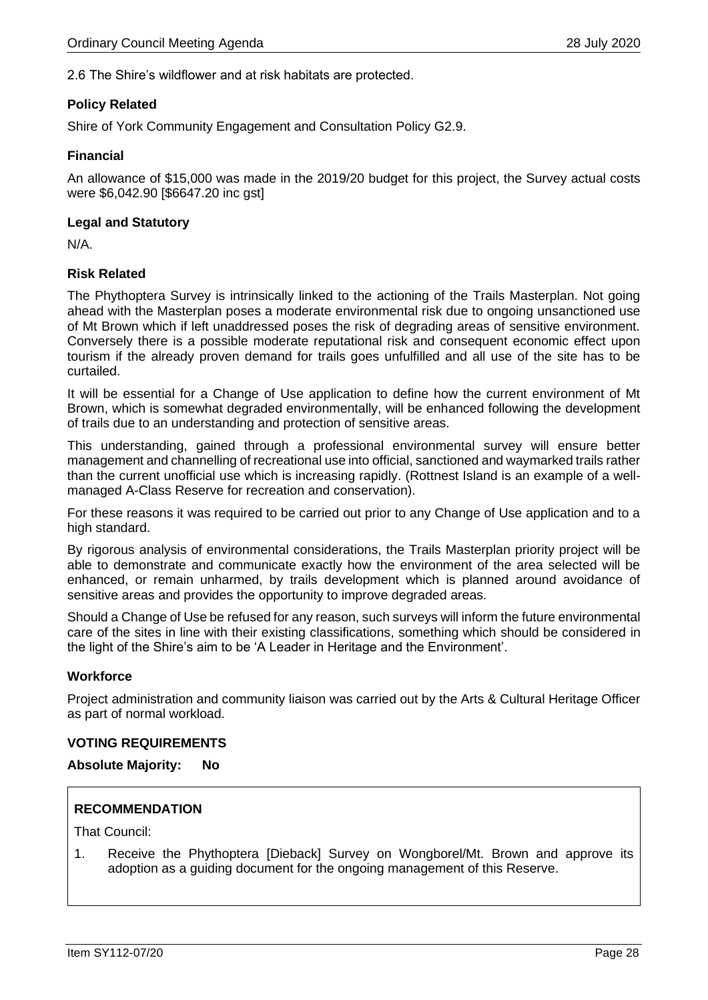2.6 The Shire's wildflower and at risk habitats are protected.

#### **Policy Related**

Shire of York Community Engagement and Consultation Policy G2.9.

#### **Financial**

An allowance of \$15,000 was made in the 2019/20 budget for this project, the Survey actual costs were \$6,042.90 [\$6647.20 inc gst]

#### **Legal and Statutory**

N/A.

# **Risk Related**

The Phythoptera Survey is intrinsically linked to the actioning of the Trails Masterplan. Not going ahead with the Masterplan poses a moderate environmental risk due to ongoing unsanctioned use of Mt Brown which if left unaddressed poses the risk of degrading areas of sensitive environment. Conversely there is a possible moderate reputational risk and consequent economic effect upon tourism if the already proven demand for trails goes unfulfilled and all use of the site has to be curtailed.

It will be essential for a Change of Use application to define how the current environment of Mt Brown, which is somewhat degraded environmentally, will be enhanced following the development of trails due to an understanding and protection of sensitive areas.

This understanding, gained through a professional environmental survey will ensure better management and channelling of recreational use into official, sanctioned and waymarked trails rather than the current unofficial use which is increasing rapidly. (Rottnest Island is an example of a wellmanaged A-Class Reserve for recreation and conservation).

For these reasons it was required to be carried out prior to any Change of Use application and to a high standard.

By rigorous analysis of environmental considerations, the Trails Masterplan priority project will be able to demonstrate and communicate exactly how the environment of the area selected will be enhanced, or remain unharmed, by trails development which is planned around avoidance of sensitive areas and provides the opportunity to improve degraded areas.

Should a Change of Use be refused for any reason, such surveys will inform the future environmental care of the sites in line with their existing classifications, something which should be considered in the light of the Shire's aim to be 'A Leader in Heritage and the Environment'.

# **Workforce**

Project administration and community liaison was carried out by the Arts & Cultural Heritage Officer as part of normal workload.

#### **VOTING REQUIREMENTS**

**Absolute Majority: No**

# **RECOMMENDATION**

That Council:

1. Receive the Phythoptera [Dieback] Survey on Wongborel/Mt. Brown and approve its adoption as a guiding document for the ongoing management of this Reserve.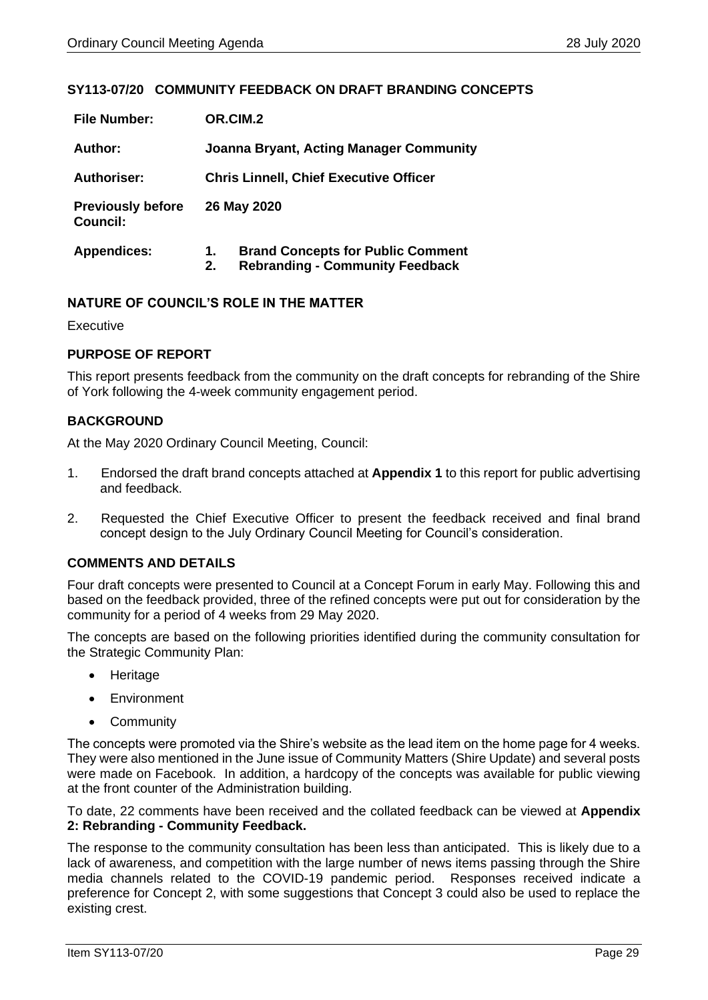# <span id="page-28-0"></span>**SY113-07/20 COMMUNITY FEEDBACK ON DRAFT BRANDING CONCEPTS**

| <b>File Number:</b>                  | OR.CIM.2                                                                                       |  |  |
|--------------------------------------|------------------------------------------------------------------------------------------------|--|--|
| Author:                              | <b>Joanna Bryant, Acting Manager Community</b>                                                 |  |  |
| Authoriser:                          | <b>Chris Linnell, Chief Executive Officer</b>                                                  |  |  |
| <b>Previously before</b><br>Council: | 26 May 2020                                                                                    |  |  |
| <b>Appendices:</b>                   | <b>Brand Concepts for Public Comment</b><br>1.<br><b>Rebranding - Community Feedback</b><br>2. |  |  |

# **NATURE OF COUNCIL'S ROLE IN THE MATTER**

Executive

#### **PURPOSE OF REPORT**

This report presents feedback from the community on the draft concepts for rebranding of the Shire of York following the 4-week community engagement period.

# **BACKGROUND**

At the May 2020 Ordinary Council Meeting, Council:

- 1. Endorsed the draft brand concepts attached at **Appendix 1** to this report for public advertising and feedback.
- 2. Requested the Chief Executive Officer to present the feedback received and final brand concept design to the July Ordinary Council Meeting for Council's consideration.

#### **COMMENTS AND DETAILS**

Four draft concepts were presented to Council at a Concept Forum in early May. Following this and based on the feedback provided, three of the refined concepts were put out for consideration by the community for a period of 4 weeks from 29 May 2020.

The concepts are based on the following priorities identified during the community consultation for the Strategic Community Plan:

- Heritage
- Environment
- Community

The concepts were promoted via the Shire's website as the lead item on the home page for 4 weeks. They were also mentioned in the June issue of Community Matters (Shire Update) and several posts were made on Facebook. In addition, a hardcopy of the concepts was available for public viewing at the front counter of the Administration building.

To date, 22 comments have been received and the collated feedback can be viewed at **Appendix 2: Rebranding - Community Feedback.** 

The response to the community consultation has been less than anticipated. This is likely due to a lack of awareness, and competition with the large number of news items passing through the Shire media channels related to the COVID-19 pandemic period. Responses received indicate a preference for Concept 2, with some suggestions that Concept 3 could also be used to replace the existing crest.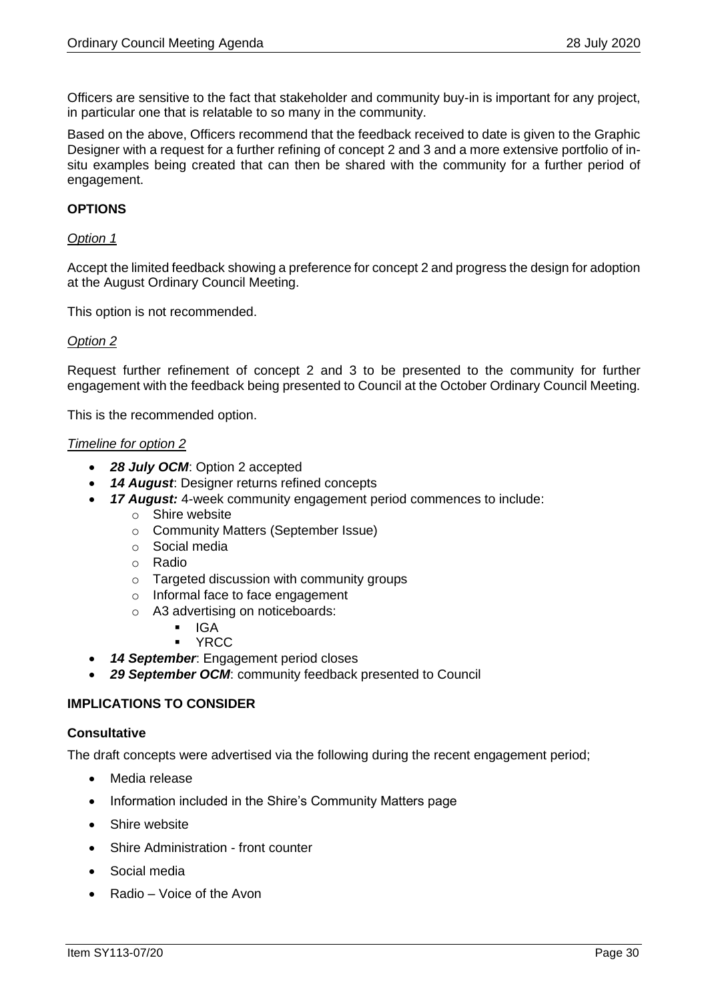Officers are sensitive to the fact that stakeholder and community buy-in is important for any project, in particular one that is relatable to so many in the community.

Based on the above, Officers recommend that the feedback received to date is given to the Graphic Designer with a request for a further refining of concept 2 and 3 and a more extensive portfolio of insitu examples being created that can then be shared with the community for a further period of engagement.

# **OPTIONS**

#### *Option 1*

Accept the limited feedback showing a preference for concept 2 and progress the design for adoption at the August Ordinary Council Meeting.

This option is not recommended.

#### *Option 2*

Request further refinement of concept 2 and 3 to be presented to the community for further engagement with the feedback being presented to Council at the October Ordinary Council Meeting.

This is the recommended option.

#### *Timeline for option 2*

- *28 July OCM*: Option 2 accepted
- *14 August*: Designer returns refined concepts
	- *17 August:* 4-week community engagement period commences to include:
		- o Shire website
		- o Community Matters (September Issue)
		- o Social media
		- o Radio
		- $\circ$  Targeted discussion with community groups
		- o Informal face to face engagement
		- o A3 advertising on noticeboards:
			- IGA
			- **YRCC**
- *14 September*: Engagement period closes
- *29 September OCM*: community feedback presented to Council

# **IMPLICATIONS TO CONSIDER**

#### **Consultative**

The draft concepts were advertised via the following during the recent engagement period;

- Media release
- Information included in the Shire's Community Matters page
- Shire website
- Shire Administration front counter
- Social media
- Radio Voice of the Avon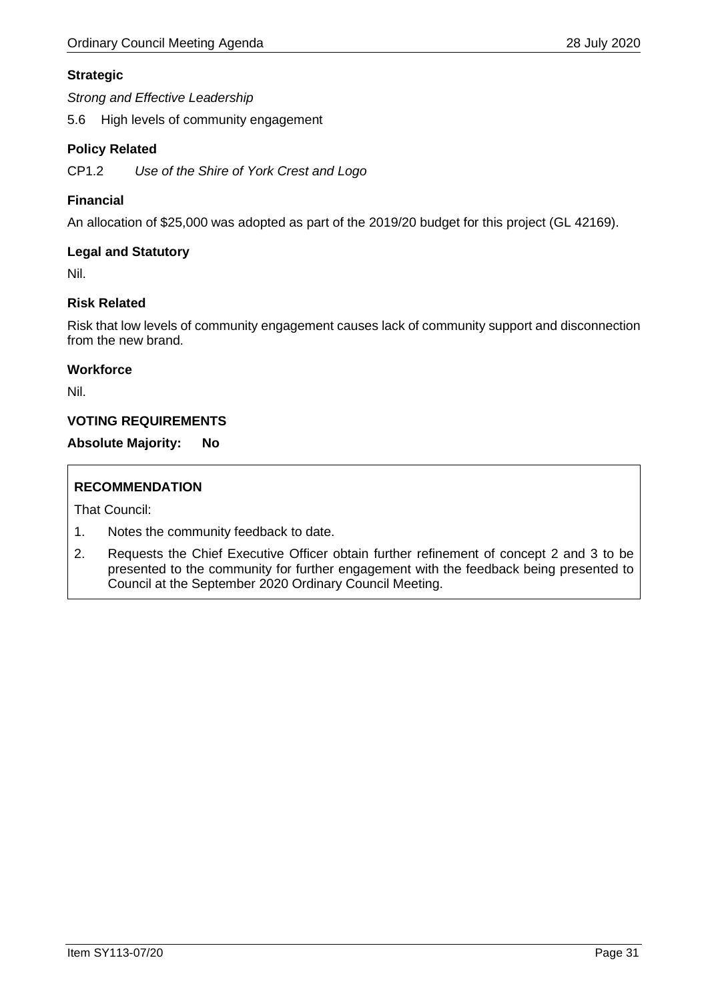# **Strategic**

*Strong and Effective Leadership*

5.6 High levels of community engagement

# **Policy Related**

CP1.2 *Use of the Shire of York Crest and Logo*

# **Financial**

An allocation of \$25,000 was adopted as part of the 2019/20 budget for this project (GL 42169).

# **Legal and Statutory**

Nil.

# **Risk Related**

Risk that low levels of community engagement causes lack of community support and disconnection from the new brand.

#### **Workforce**

Nil.

# **VOTING REQUIREMENTS**

# **Absolute Majority: No**

# **RECOMMENDATION**

That Council:

- 1. Notes the community feedback to date.
- 2. Requests the Chief Executive Officer obtain further refinement of concept 2 and 3 to be presented to the community for further engagement with the feedback being presented to Council at the September 2020 Ordinary Council Meeting.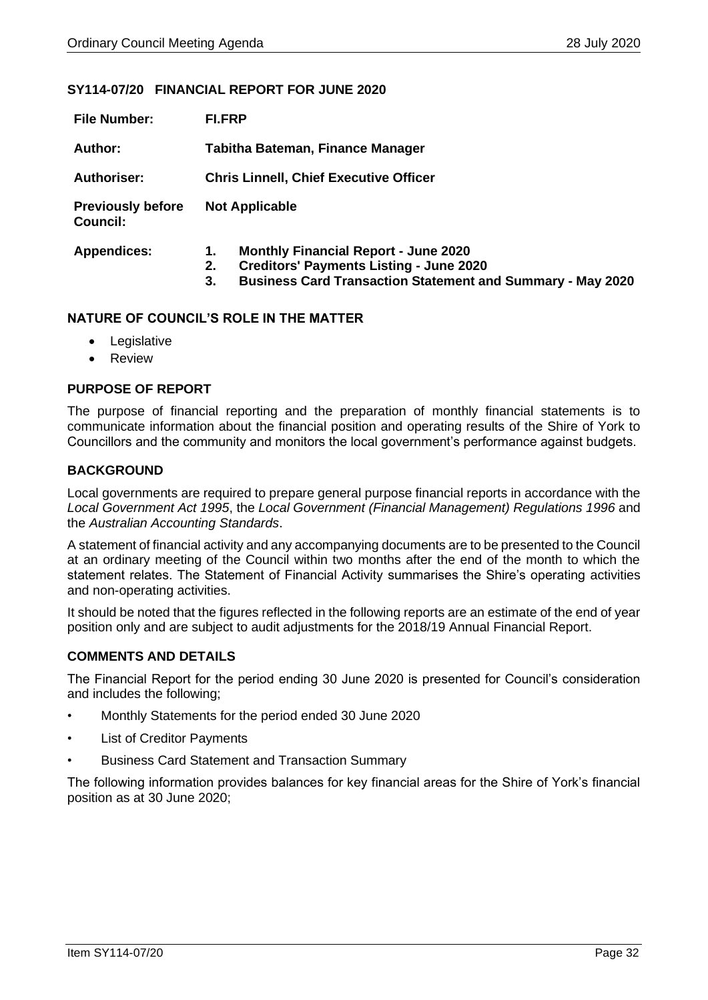# <span id="page-31-0"></span>**SY114-07/20 FINANCIAL REPORT FOR JUNE 2020**

| <b>File Number:</b>                         | <b>FI.FRP</b>                                                                                                                                                                        |  |  |
|---------------------------------------------|--------------------------------------------------------------------------------------------------------------------------------------------------------------------------------------|--|--|
| Author:                                     | Tabitha Bateman, Finance Manager                                                                                                                                                     |  |  |
| <b>Authoriser:</b>                          | <b>Chris Linnell, Chief Executive Officer</b>                                                                                                                                        |  |  |
| <b>Previously before</b><br><b>Council:</b> | <b>Not Applicable</b>                                                                                                                                                                |  |  |
| <b>Appendices:</b>                          | <b>Monthly Financial Report - June 2020</b><br>1.<br><b>Creditors' Payments Listing - June 2020</b><br>2.<br><b>Business Card Transaction Statement and Summary - May 2020</b><br>3. |  |  |

#### **NATURE OF COUNCIL'S ROLE IN THE MATTER**

- Legislative
- Review

# **PURPOSE OF REPORT**

The purpose of financial reporting and the preparation of monthly financial statements is to communicate information about the financial position and operating results of the Shire of York to Councillors and the community and monitors the local government's performance against budgets.

# **BACKGROUND**

Local governments are required to prepare general purpose financial reports in accordance with the *Local Government Act 1995*, the *Local Government (Financial Management) Regulations 1996* and the *Australian Accounting Standards*.

A statement of financial activity and any accompanying documents are to be presented to the Council at an ordinary meeting of the Council within two months after the end of the month to which the statement relates. The Statement of Financial Activity summarises the Shire's operating activities and non-operating activities.

It should be noted that the figures reflected in the following reports are an estimate of the end of year position only and are subject to audit adjustments for the 2018/19 Annual Financial Report.

# **COMMENTS AND DETAILS**

The Financial Report for the period ending 30 June 2020 is presented for Council's consideration and includes the following;

- Monthly Statements for the period ended 30 June 2020
- **List of Creditor Payments**
- Business Card Statement and Transaction Summary

The following information provides balances for key financial areas for the Shire of York's financial position as at 30 June 2020;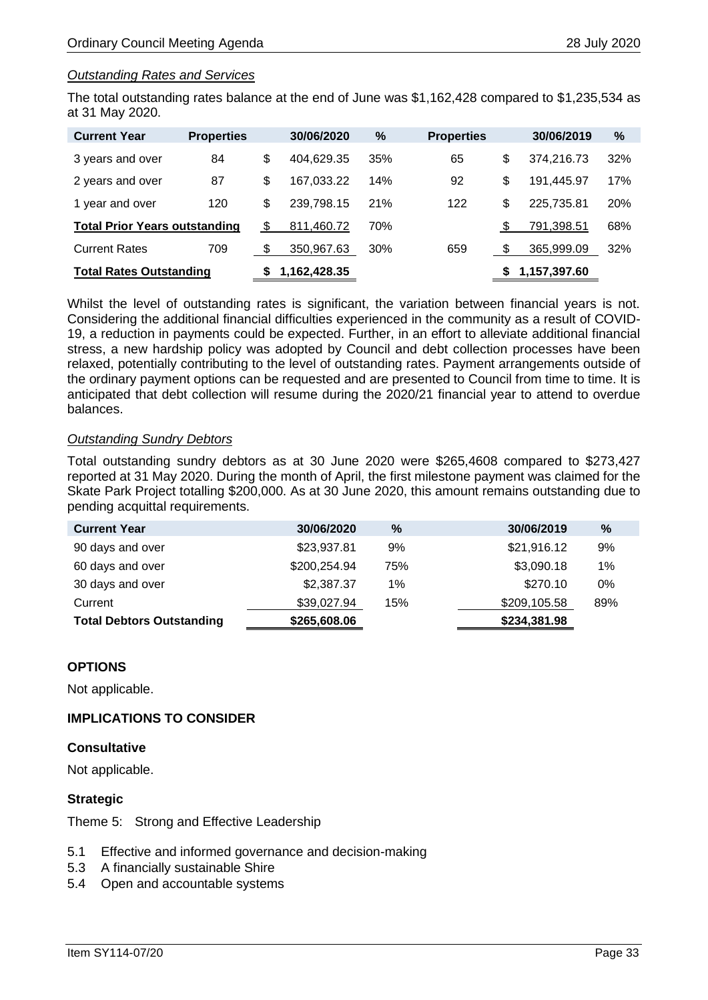#### *Outstanding Rates and Services*

The total outstanding rates balance at the end of June was \$1,162,428 compared to \$1,235,534 as at 31 May 2020.

| <b>Current Year</b>                  | <b>Properties</b> | 30/06/2020       | $\%$ | <b>Properties</b> |    | 30/06/2019   | $\%$ |
|--------------------------------------|-------------------|------------------|------|-------------------|----|--------------|------|
| 3 years and over                     | 84                | \$<br>404,629.35 | 35%  | 65                | \$ | 374,216.73   | 32%  |
| 2 years and over                     | 87                | \$<br>167.033.22 | 14%  | 92                | \$ | 191,445.97   | 17%  |
| 1 year and over                      | 120               | \$<br>239,798.15 | 21%  | 122               | \$ | 225.735.81   | 20%  |
| <b>Total Prior Years outstanding</b> |                   | \$<br>811.460.72 | 70%  |                   |    | 791,398.51   | 68%  |
| <b>Current Rates</b>                 | 709               | \$<br>350,967.63 | 30%  | 659               |    | 365,999.09   | 32%  |
| <b>Total Rates Outstanding</b>       |                   | 1,162,428.35     |      |                   | จ  | 1,157,397.60 |      |

Whilst the level of outstanding rates is significant, the variation between financial years is not. Considering the additional financial difficulties experienced in the community as a result of COVID-19, a reduction in payments could be expected. Further, in an effort to alleviate additional financial stress, a new hardship policy was adopted by Council and debt collection processes have been relaxed, potentially contributing to the level of outstanding rates. Payment arrangements outside of the ordinary payment options can be requested and are presented to Council from time to time. It is anticipated that debt collection will resume during the 2020/21 financial year to attend to overdue balances.

#### *Outstanding Sundry Debtors*

Total outstanding sundry debtors as at 30 June 2020 were \$265,4608 compared to \$273,427 reported at 31 May 2020. During the month of April, the first milestone payment was claimed for the Skate Park Project totalling \$200,000. As at 30 June 2020, this amount remains outstanding due to pending acquittal requirements.

| <b>Current Year</b>              | 30/06/2020   | $\%$  | 30/06/2019   | %   |
|----------------------------------|--------------|-------|--------------|-----|
| 90 days and over                 | \$23,937.81  | 9%    | \$21,916.12  | 9%  |
| 60 days and over                 | \$200,254.94 | 75%   | \$3,090.18   | 1%  |
| 30 days and over                 | \$2,387.37   | $1\%$ | \$270.10     | 0%  |
| Current                          | \$39,027.94  | 15%   | \$209,105.58 | 89% |
| <b>Total Debtors Outstanding</b> | \$265,608.06 |       | \$234,381.98 |     |

# **OPTIONS**

Not applicable.

# **IMPLICATIONS TO CONSIDER**

# **Consultative**

Not applicable.

# **Strategic**

Theme 5: Strong and Effective Leadership

- 5.1 Effective and informed governance and decision-making
- 5.3 A financially sustainable Shire
- 5.4 Open and accountable systems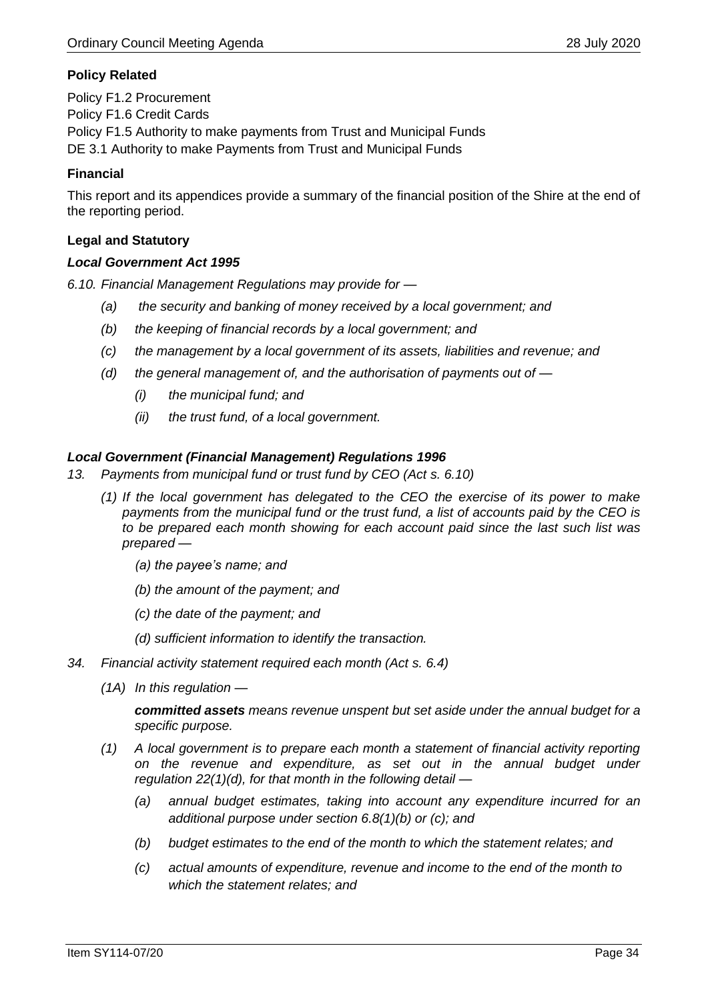# **Policy Related**

Policy F1.2 Procurement Policy F1.6 Credit Cards Policy F1.5 Authority to make payments from Trust and Municipal Funds DE 3.1 Authority to make Payments from Trust and Municipal Funds

# **Financial**

This report and its appendices provide a summary of the financial position of the Shire at the end of the reporting period.

# **Legal and Statutory**

# *Local Government Act 1995*

*6.10. Financial Management Regulations may provide for —*

- *(a) the security and banking of money received by a local government; and*
- *(b) the keeping of financial records by a local government; and*
- *(c) the management by a local government of its assets, liabilities and revenue; and*
- *(d) the general management of, and the authorisation of payments out of —*
	- *(i) the municipal fund; and*
	- *(ii) the trust fund, of a local government.*

# *Local Government (Financial Management) Regulations 1996*

- *13. Payments from municipal fund or trust fund by CEO (Act s. 6.10)*
	- *(1) If the local government has delegated to the CEO the exercise of its power to make payments from the municipal fund or the trust fund, a list of accounts paid by the CEO is to be prepared each month showing for each account paid since the last such list was prepared —*
		- *(a) the payee's name; and*
		- *(b) the amount of the payment; and*
		- *(c) the date of the payment; and*
		- *(d) sufficient information to identify the transaction.*
- *34. Financial activity statement required each month (Act s. 6.4)*
	- *(1A) In this regulation —*

*committed assets means revenue unspent but set aside under the annual budget for a specific purpose.*

- *(1) A local government is to prepare each month a statement of financial activity reporting on the revenue and expenditure, as set out in the annual budget under regulation 22(1)(d), for that month in the following detail —*
	- *(a) annual budget estimates, taking into account any expenditure incurred for an additional purpose under section 6.8(1)(b) or (c); and*
	- *(b) budget estimates to the end of the month to which the statement relates; and*
	- *(c) actual amounts of expenditure, revenue and income to the end of the month to which the statement relates; and*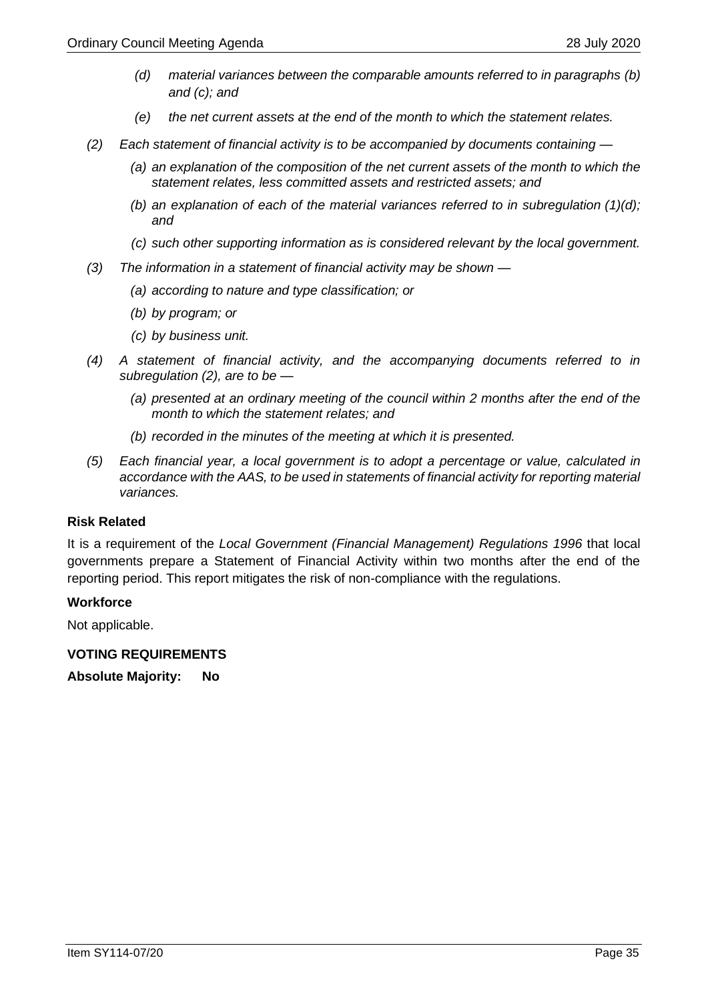- *(d) material variances between the comparable amounts referred to in paragraphs (b) and (c); and*
- *(e) the net current assets at the end of the month to which the statement relates.*
- *(2) Each statement of financial activity is to be accompanied by documents containing —*
	- *(a) an explanation of the composition of the net current assets of the month to which the statement relates, less committed assets and restricted assets; and*
	- *(b) an explanation of each of the material variances referred to in subregulation (1)(d); and*
	- *(c) such other supporting information as is considered relevant by the local government.*
- *(3) The information in a statement of financial activity may be shown —*
	- *(a) according to nature and type classification; or*
	- *(b) by program; or*
	- *(c) by business unit.*
- *(4) A statement of financial activity, and the accompanying documents referred to in subregulation (2), are to be —*
	- *(a) presented at an ordinary meeting of the council within 2 months after the end of the month to which the statement relates; and*
	- *(b) recorded in the minutes of the meeting at which it is presented.*
- *(5) Each financial year, a local government is to adopt a percentage or value, calculated in accordance with the AAS, to be used in statements of financial activity for reporting material variances.*

#### **Risk Related**

It is a requirement of the *Local Government (Financial Management) Regulations 1996* that local governments prepare a Statement of Financial Activity within two months after the end of the reporting period. This report mitigates the risk of non-compliance with the regulations.

#### **Workforce**

Not applicable.

**VOTING REQUIREMENTS** 

**Absolute Majority: No**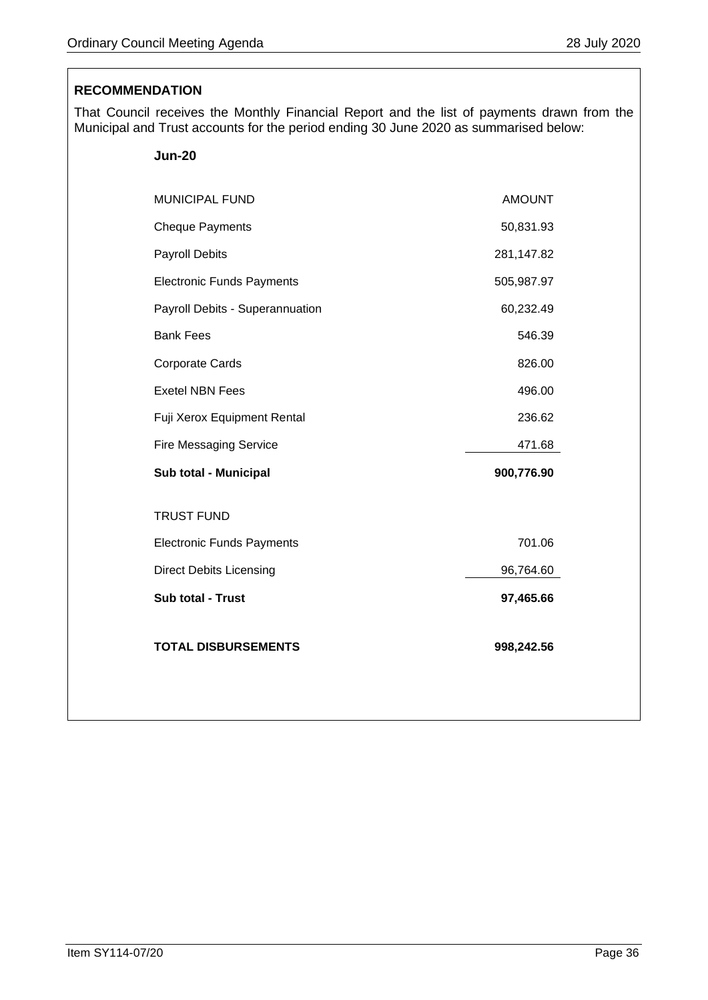**Jun-20**

# **RECOMMENDATION**

That Council receives the Monthly Financial Report and the list of payments drawn from the Municipal and Trust accounts for the period ending 30 June 2020 as summarised below:

| <b>TOTAL DISBURSEMENTS</b>       | 998,242.56    |
|----------------------------------|---------------|
| Sub total - Trust                | 97,465.66     |
| <b>Direct Debits Licensing</b>   | 96,764.60     |
| <b>Electronic Funds Payments</b> | 701.06        |
| <b>TRUST FUND</b>                |               |
| Sub total - Municipal            | 900,776.90    |
| <b>Fire Messaging Service</b>    | 471.68        |
| Fuji Xerox Equipment Rental      | 236.62        |
| <b>Exetel NBN Fees</b>           | 496.00        |
| <b>Corporate Cards</b>           | 826.00        |
| <b>Bank Fees</b>                 | 546.39        |
| Payroll Debits - Superannuation  | 60,232.49     |
| <b>Electronic Funds Payments</b> | 505,987.97    |
| <b>Payroll Debits</b>            | 281,147.82    |
| <b>Cheque Payments</b>           | 50,831.93     |
| <b>MUNICIPAL FUND</b>            | <b>AMOUNT</b> |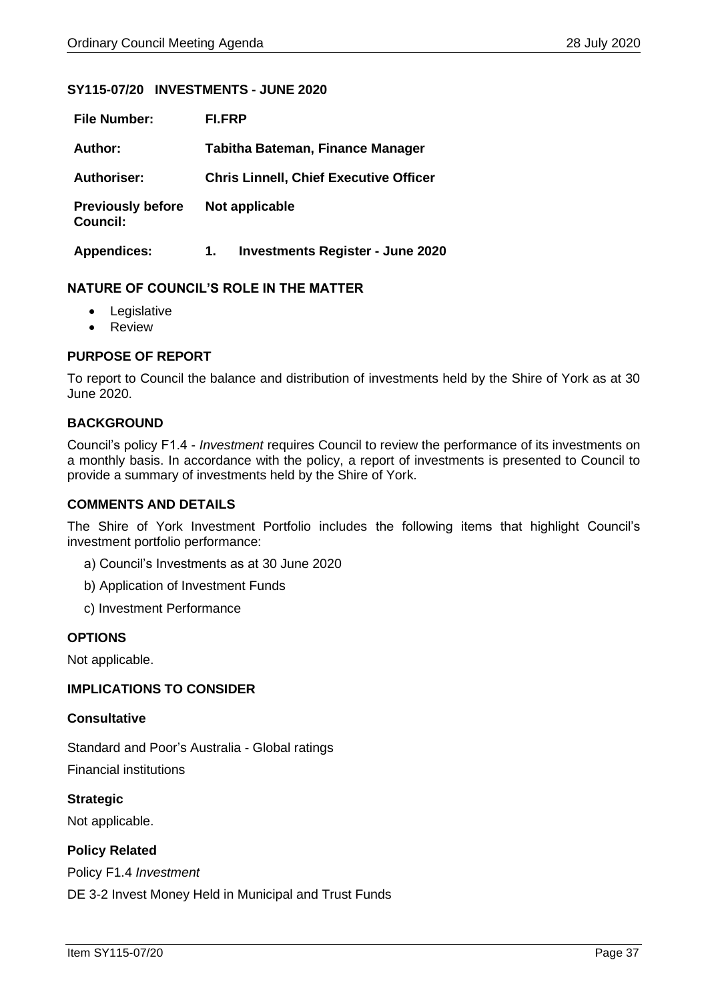#### <span id="page-36-0"></span>**SY115-07/20 INVESTMENTS - JUNE 2020**

| <b>File Number:</b>                         | FI.FRP                                        |
|---------------------------------------------|-----------------------------------------------|
| Author:                                     | <b>Tabitha Bateman, Finance Manager</b>       |
| <b>Authoriser:</b>                          | <b>Chris Linnell, Chief Executive Officer</b> |
| <b>Previously before</b><br><b>Council:</b> | Not applicable                                |
| <b>Appendices:</b>                          | <b>Investments Register - June 2020</b><br>1. |

# **NATURE OF COUNCIL'S ROLE IN THE MATTER**

- Legislative
- Review

# **PURPOSE OF REPORT**

To report to Council the balance and distribution of investments held by the Shire of York as at 30 June 2020.

# **BACKGROUND**

Council's policy F1.4 - *Investment* requires Council to review the performance of its investments on a monthly basis. In accordance with the policy, a report of investments is presented to Council to provide a summary of investments held by the Shire of York.

#### **COMMENTS AND DETAILS**

The Shire of York Investment Portfolio includes the following items that highlight Council's investment portfolio performance:

- a) Council's Investments as at 30 June 2020
- b) Application of Investment Funds
- c) Investment Performance

#### **OPTIONS**

Not applicable.

# **IMPLICATIONS TO CONSIDER**

#### **Consultative**

Standard and Poor's Australia - Global ratings Financial institutions

**Strategic** Not applicable.

#### **Policy Related**

Policy F1.4 *Investment*

DE 3-2 Invest Money Held in Municipal and Trust Funds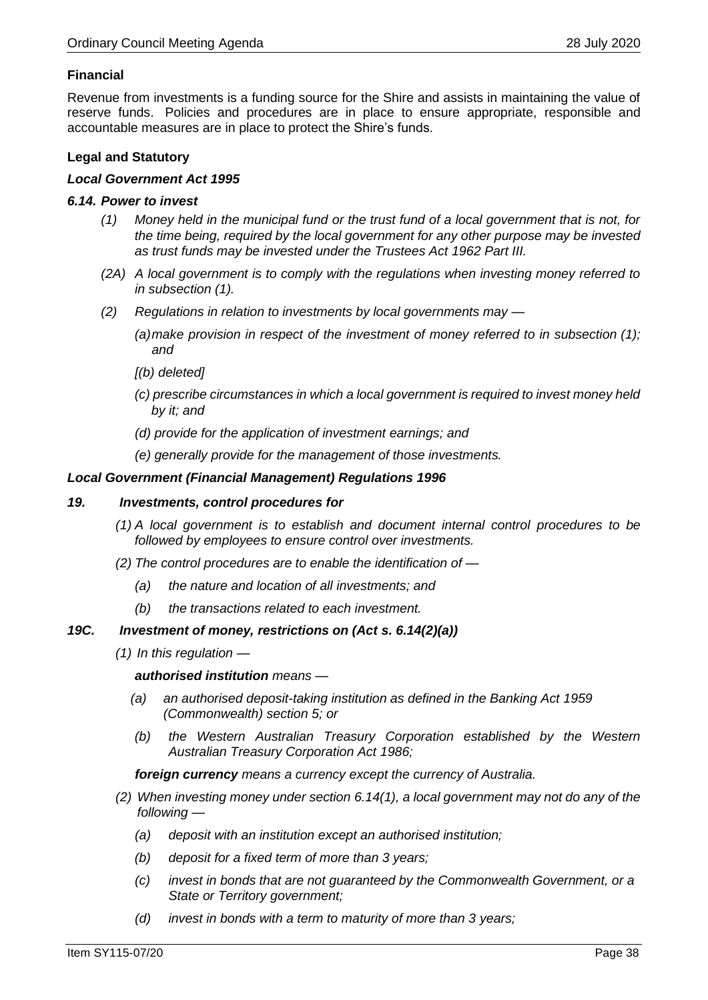# **Financial**

Revenue from investments is a funding source for the Shire and assists in maintaining the value of reserve funds. Policies and procedures are in place to ensure appropriate, responsible and accountable measures are in place to protect the Shire's funds.

# **Legal and Statutory**

#### *Local Government Act 1995*

#### *6.14. Power to invest*

- *(1) Money held in the municipal fund or the trust fund of a local government that is not, for the time being, required by the local government for any other purpose may be invested as trust funds may be invested under the Trustees Act 1962 Part III.*
- *(2A) A local government is to comply with the regulations when investing money referred to in subsection (1).*
- *(2) Regulations in relation to investments by local governments may —*
	- *(a)make provision in respect of the investment of money referred to in subsection (1); and*
	- *[(b) deleted]*
	- *(c) prescribe circumstances in which a local government is required to invest money held by it; and*
	- *(d) provide for the application of investment earnings; and*
	- *(e) generally provide for the management of those investments.*

#### *Local Government (Financial Management) Regulations 1996*

#### *19. Investments, control procedures for*

- *(1) A local government is to establish and document internal control procedures to be followed by employees to ensure control over investments.*
- *(2) The control procedures are to enable the identification of —*
	- *(a) the nature and location of all investments; and*
	- *(b) the transactions related to each investment.*

#### *19C. Investment of money, restrictions on (Act s. 6.14(2)(a))*

*(1) In this regulation —*

*authorised institution means —*

- *(a) an authorised deposit-taking institution as defined in the Banking Act 1959 (Commonwealth) section 5; or*
- *(b) the Western Australian Treasury Corporation established by the Western Australian Treasury Corporation Act 1986;*

*foreign currency means a currency except the currency of Australia.*

- *(2) When investing money under section 6.14(1), a local government may not do any of the following —*
	- *(a) deposit with an institution except an authorised institution;*
	- *(b) deposit for a fixed term of more than 3 years;*
	- *(c) invest in bonds that are not guaranteed by the Commonwealth Government, or a State or Territory government;*
	- *(d) invest in bonds with a term to maturity of more than 3 years;*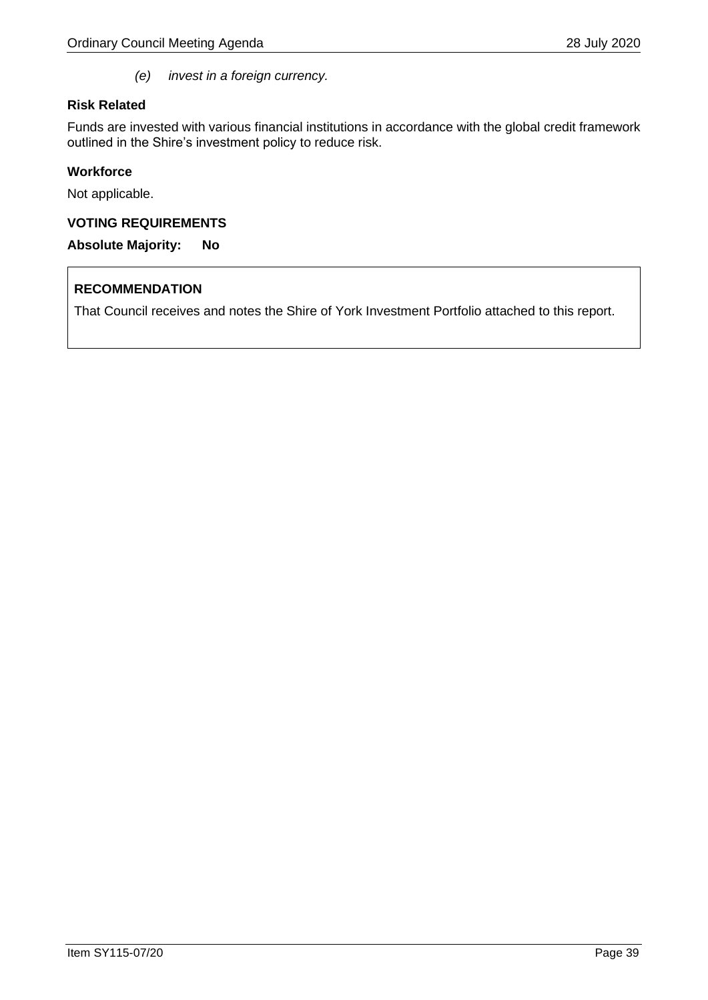*(e) invest in a foreign currency.*

# **Risk Related**

Funds are invested with various financial institutions in accordance with the global credit framework outlined in the Shire's investment policy to reduce risk.

# **Workforce**

Not applicable.

# **VOTING REQUIREMENTS**

# **Absolute Majority: No**

# **RECOMMENDATION**

That Council receives and notes the Shire of York Investment Portfolio attached to this report.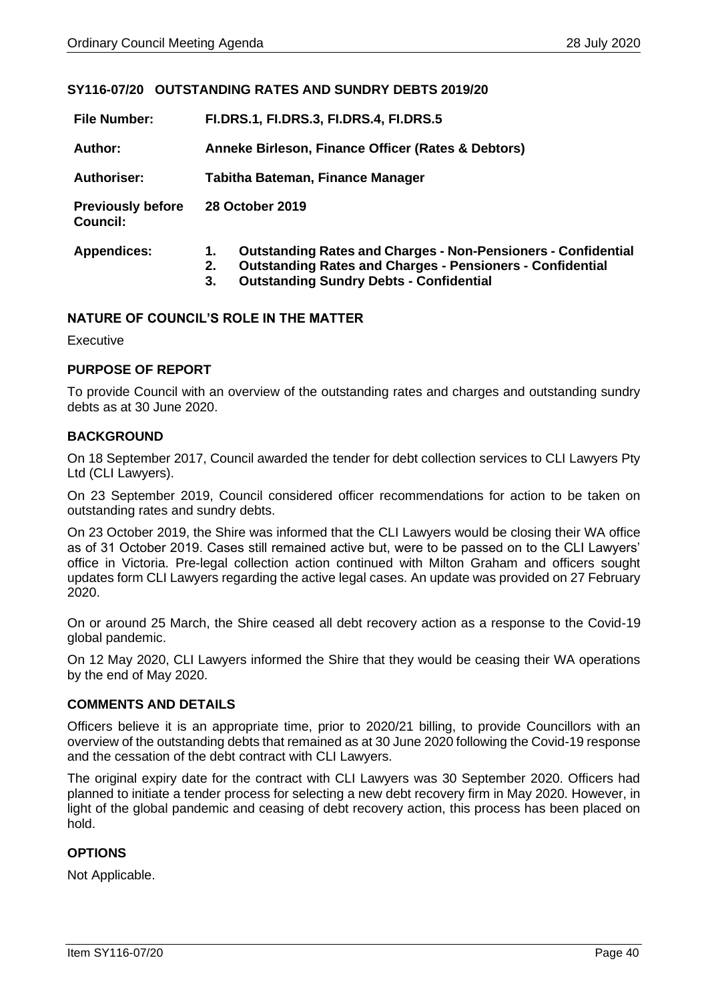# <span id="page-39-0"></span>**SY116-07/20 OUTSTANDING RATES AND SUNDRY DEBTS 2019/20**

| <b>File Number:</b>                         | <b>FI.DRS.1, FI.DRS.3, FI.DRS.4, FI.DRS.5</b>                                                                                                                                                                |  |  |
|---------------------------------------------|--------------------------------------------------------------------------------------------------------------------------------------------------------------------------------------------------------------|--|--|
| Author:                                     | Anneke Birleson, Finance Officer (Rates & Debtors)                                                                                                                                                           |  |  |
| <b>Authoriser:</b>                          | Tabitha Bateman, Finance Manager                                                                                                                                                                             |  |  |
| <b>Previously before</b><br><b>Council:</b> | 28 October 2019                                                                                                                                                                                              |  |  |
| <b>Appendices:</b>                          | <b>Outstanding Rates and Charges - Non-Pensioners - Confidential</b><br>1.<br><b>Outstanding Rates and Charges - Pensioners - Confidential</b><br>2.<br><b>Outstanding Sundry Debts - Confidential</b><br>3. |  |  |

#### **NATURE OF COUNCIL'S ROLE IN THE MATTER**

Executive

# **PURPOSE OF REPORT**

To provide Council with an overview of the outstanding rates and charges and outstanding sundry debts as at 30 June 2020.

# **BACKGROUND**

On 18 September 2017, Council awarded the tender for debt collection services to CLI Lawyers Pty Ltd (CLI Lawyers).

On 23 September 2019, Council considered officer recommendations for action to be taken on outstanding rates and sundry debts.

On 23 October 2019, the Shire was informed that the CLI Lawyers would be closing their WA office as of 31 October 2019. Cases still remained active but, were to be passed on to the CLI Lawyers' office in Victoria. Pre-legal collection action continued with Milton Graham and officers sought updates form CLI Lawyers regarding the active legal cases. An update was provided on 27 February 2020.

On or around 25 March, the Shire ceased all debt recovery action as a response to the Covid-19 global pandemic.

On 12 May 2020, CLI Lawyers informed the Shire that they would be ceasing their WA operations by the end of May 2020.

#### **COMMENTS AND DETAILS**

Officers believe it is an appropriate time, prior to 2020/21 billing, to provide Councillors with an overview of the outstanding debts that remained as at 30 June 2020 following the Covid-19 response and the cessation of the debt contract with CLI Lawyers.

The original expiry date for the contract with CLI Lawyers was 30 September 2020. Officers had planned to initiate a tender process for selecting a new debt recovery firm in May 2020. However, in light of the global pandemic and ceasing of debt recovery action, this process has been placed on hold.

# **OPTIONS**

Not Applicable.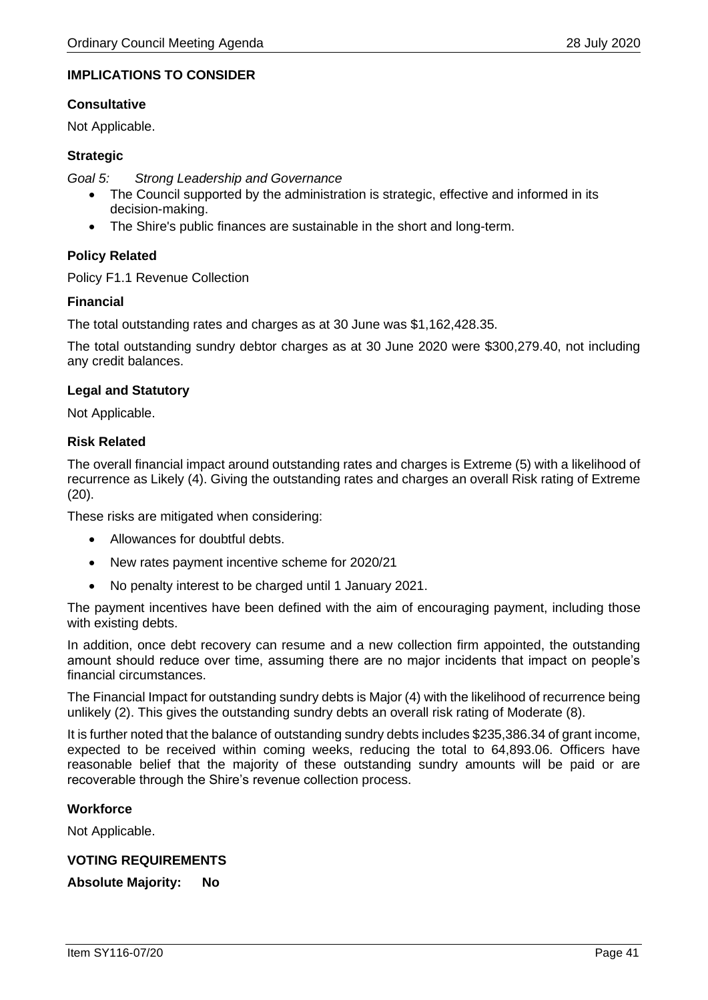# **IMPLICATIONS TO CONSIDER**

#### **Consultative**

Not Applicable.

#### **Strategic**

*Goal 5: Strong Leadership and Governance*

- The Council supported by the administration is strategic, effective and informed in its decision-making.
- The Shire's public finances are sustainable in the short and long-term.

# **Policy Related**

Policy F1.1 Revenue Collection

# **Financial**

The total outstanding rates and charges as at 30 June was \$1,162,428.35.

The total outstanding sundry debtor charges as at 30 June 2020 were \$300,279.40, not including any credit balances.

# **Legal and Statutory**

Not Applicable.

# **Risk Related**

The overall financial impact around outstanding rates and charges is Extreme (5) with a likelihood of recurrence as Likely (4). Giving the outstanding rates and charges an overall Risk rating of Extreme (20).

These risks are mitigated when considering:

- Allowances for doubtful debts.
- New rates payment incentive scheme for 2020/21
- No penalty interest to be charged until 1 January 2021.

The payment incentives have been defined with the aim of encouraging payment, including those with existing debts.

In addition, once debt recovery can resume and a new collection firm appointed, the outstanding amount should reduce over time, assuming there are no major incidents that impact on people's financial circumstances.

The Financial Impact for outstanding sundry debts is Major (4) with the likelihood of recurrence being unlikely (2). This gives the outstanding sundry debts an overall risk rating of Moderate (8).

It is further noted that the balance of outstanding sundry debts includes \$235,386.34 of grant income, expected to be received within coming weeks, reducing the total to 64,893.06. Officers have reasonable belief that the majority of these outstanding sundry amounts will be paid or are recoverable through the Shire's revenue collection process.

# **Workforce**

Not Applicable.

# **VOTING REQUIREMENTS**

**Absolute Majority: No**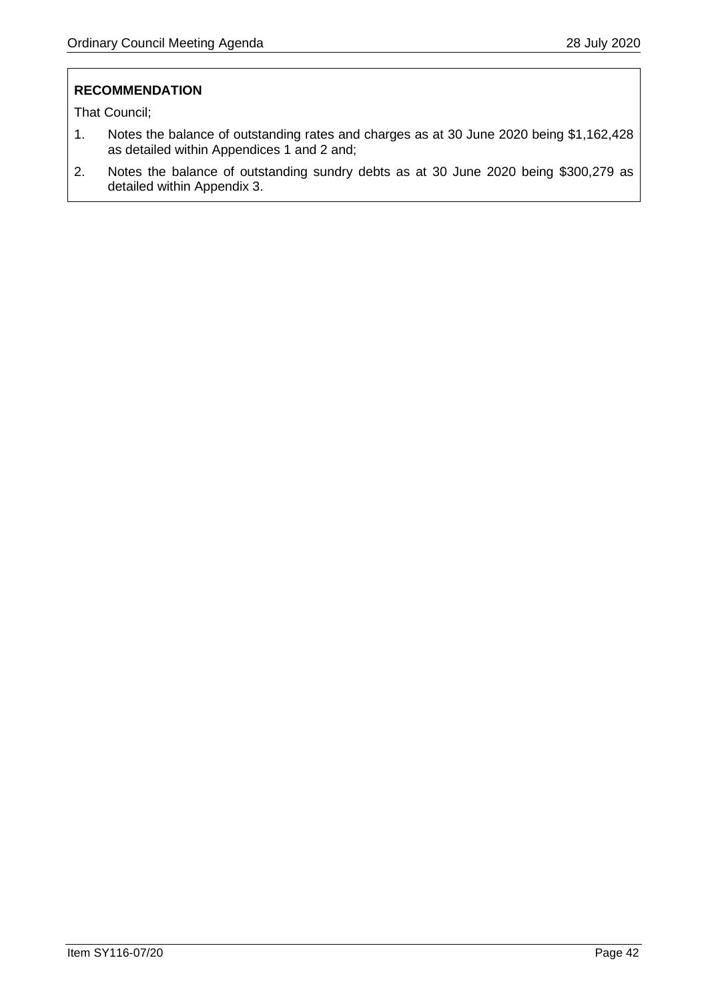# **RECOMMENDATION**

That Council;

- 1. Notes the balance of outstanding rates and charges as at 30 June 2020 being \$1,162,428 as detailed within Appendices 1 and 2 and;
- 2. Notes the balance of outstanding sundry debts as at 30 June 2020 being \$300,279 as detailed within Appendix 3.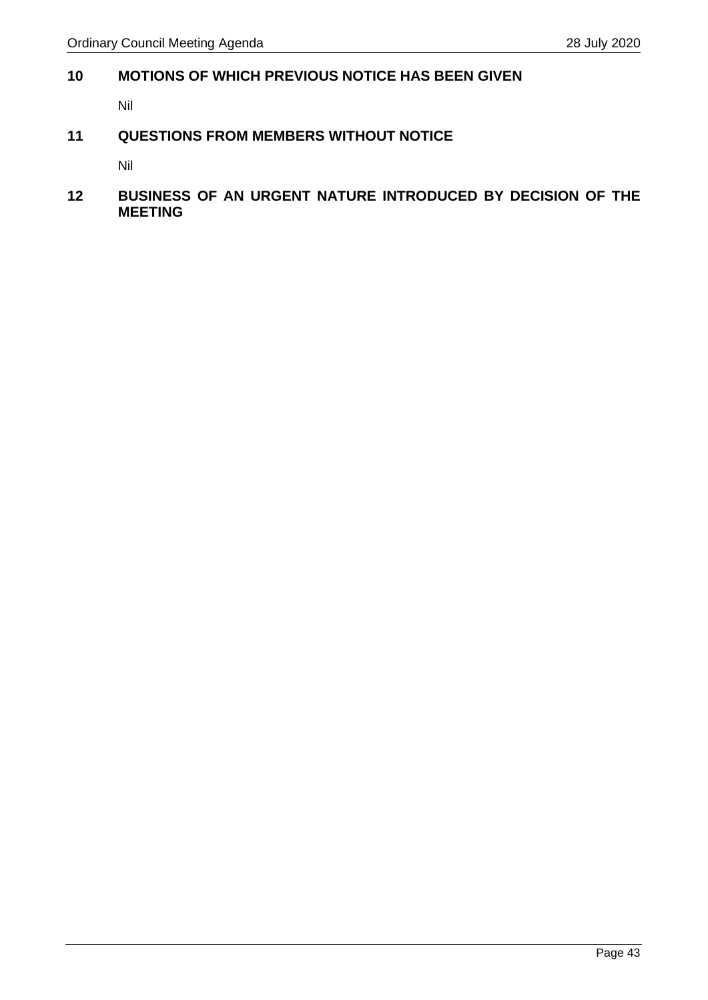# <span id="page-42-0"></span>**10 MOTIONS OF WHICH PREVIOUS NOTICE HAS BEEN GIVEN**

Nil

# <span id="page-42-1"></span>**11 QUESTIONS FROM MEMBERS WITHOUT NOTICE**

Nil

# <span id="page-42-2"></span>**12 BUSINESS OF AN URGENT NATURE INTRODUCED BY DECISION OF THE MEETING**